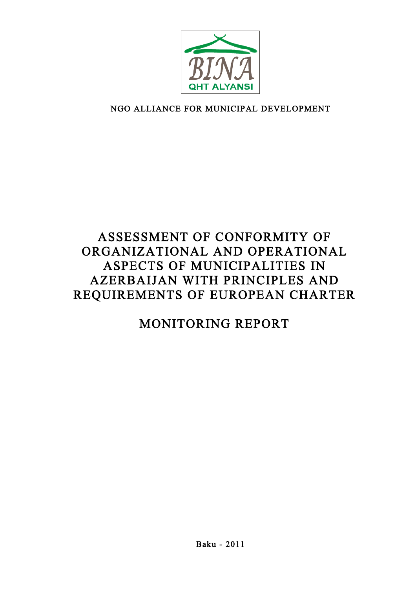

# NGO ALLIANCE FOR MUNICIPAL DEVELOPMENT

# ASSESSMENT OF CONFORMITY OF ORGANIZATIONAL AND OPERATIONAL ASPECTS OF MUNICIPALITIES IN AZERBAIJAN WITH PRINCIPLES AND REQUIREMENTS OF EUROPEAN CHARTER

# MONITORING REPORT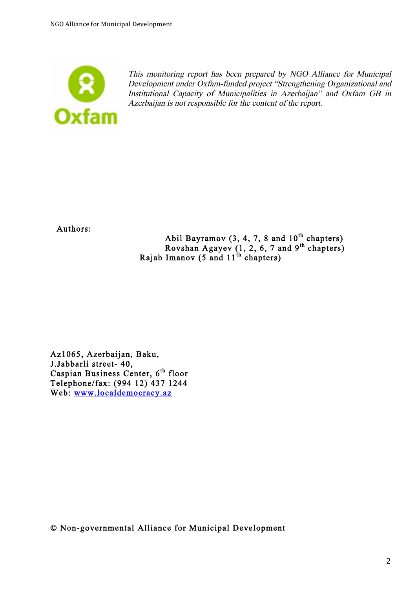

This monitoring report has been prepared by NGO Alliance for Municipal Development under Oxfam-funded project "Strengthening Organizational and Institutional Capacity of Municipalities in Azerbaijan" and Oxfam GB in Azerbaijan is not responsible for the content of the report.

Authors:

Abil Bayramov  $(3, 4, 7, 8$  and  $10<sup>th</sup>$  chapters) Rovshan Agayev  $(1, 2, 6, 7$  and  $9<sup>th</sup>$  chapters) Rajab Imanov (5 and  $11^{th}$  chapters)

Az1065, Azerbaijan, Baku, J.Jabbarli street- 40, Caspian Business Center, 6<sup>th</sup> floor Telephone/fax: (994 12) 437 1244 Web: www.localdemocracy.az

© Non-governmental Alliance for Municipal Development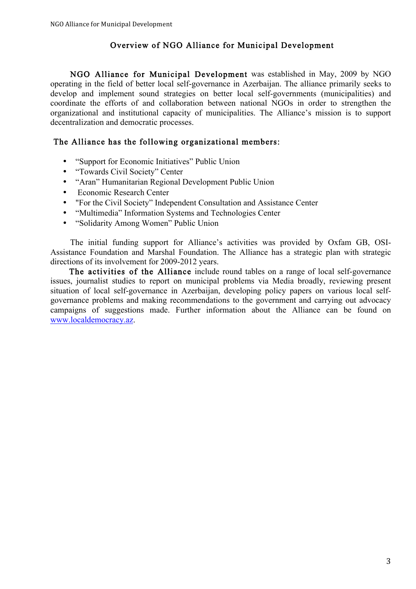### Overview of NGO Alliance for Municipal Development

NGO Alliance for Municipal Development was established in May, 2009 by NGO operating in the field of better local self-governance in Azerbaijan. The alliance primarily seeks to develop and implement sound strategies on better local self-governments (municipalities) and coordinate the efforts of and collaboration between national NGOs in order to strengthen the organizational and institutional capacity of municipalities. The Alliance's mission is to support decentralization and democratic processes.

### The Alliance has the following organizational members:

- "Support for Economic Initiatives" Public Union
- "Towards Civil Society" Center
- "Aran" Humanitarian Regional Development Public Union
- Economic Research Center
- "For the Civil Society" Independent Consultation and Assistance Center
- "Multimedia" Information Systems and Technologies Center
- "Solidarity Among Women" Public Union

The initial funding support for Alliance's activities was provided by Oxfam GB, OSI-Assistance Foundation and Marshal Foundation. The Alliance has a strategic plan with strategic directions of its involvement for 2009-2012 years.

The activities of the Alliance include round tables on a range of local self-governance issues, journalist studies to report on municipal problems via Media broadly, reviewing present situation of local self-governance in Azerbaijan, developing policy papers on various local selfgovernance problems and making recommendations to the government and carrying out advocacy campaigns of suggestions made. Further information about the Alliance can be found on www.localdemocracy.az.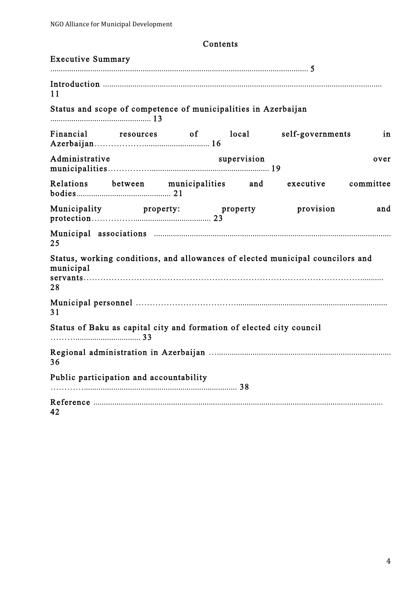# Executive Summary ........................................................................................................................... 5 Introduction ..................................................................................................................................... 11 Status and scope of competence of municipalities in Azerbaijan ................................................ 13 Financial resources of local self-governments in Azerbaijan………………............................... 16 Administrative supervision over municipalities……………......................................................... 19 Relations between municipalities and executive committee bodies............................................. 21 Municipality property: property provision and protection……………..................................... 23 Municipal associations ................................................................................................................. 25 Status, working conditions, and allowances of elected municipal councilors and municipal servants………………………………………………………………………………………........... 28 Municipal personnel ………………………………........................................................................ 31 Status of Baku as capital city and formation of elected city council ………............................... 33 Regional administration in Azerbaijan …................................................................................... 36 Public participation and accountability …………......................................................................... 38 Reference .......................................................................................................................................... 42

Contents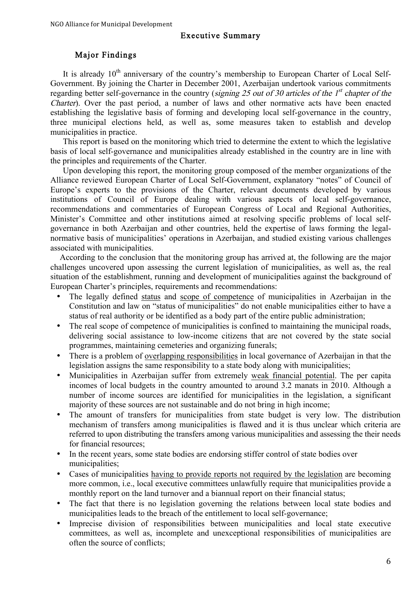#### Executive Summary

# Major Findings

It is already  $10<sup>th</sup>$  anniversary of the country's membership to European Charter of Local Self-Government. By joining the Charter in December 2001, Azerbaijan undertook various commitments regarding better self-governance in the country (signing 25 out of 30 articles of the  $1<sup>st</sup>$  chapter of the Charter). Over the past period, a number of laws and other normative acts have been enacted establishing the legislative basis of forming and developing local self-governance in the country, three municipal elections held, as well as, some measures taken to establish and develop municipalities in practice.

This report is based on the monitoring which tried to determine the extent to which the legislative basis of local self-governance and municipalities already established in the country are in line with the principles and requirements of the Charter.

Upon developing this report, the monitoring group composed of the member organizations of the Alliance reviewed European Charter of Local Self-Government, explanatory "notes" of Council of Europe's experts to the provisions of the Charter, relevant documents developed by various institutions of Council of Europe dealing with various aspects of local self-governance, recommendations and commentaries of European Congress of Local and Regional Authorities, Minister's Committee and other institutions aimed at resolving specific problems of local selfgovernance in both Azerbaijan and other countries, held the expertise of laws forming the legalnormative basis of municipalities' operations in Azerbaijan, and studied existing various challenges associated with municipalities.

According to the conclusion that the monitoring group has arrived at, the following are the major challenges uncovered upon assessing the current legislation of municipalities, as well as, the real situation of the establishment, running and development of municipalities against the background of European Charter's principles, requirements and recommendations:

- The legally defined status and scope of competence of municipalities in Azerbaijan in the Constitution and law on "status of municipalities" do not enable municipalities either to have a status of real authority or be identified as a body part of the entire public administration;
- The real scope of competence of municipalities is confined to maintaining the municipal roads, delivering social assistance to low-income citizens that are not covered by the state social programmes, maintaining cemeteries and organizing funerals;
- There is a problem of overlapping responsibilities in local governance of Azerbaijan in that the legislation assigns the same responsibility to a state body along with municipalities;
- Municipalities in Azerbaijan suffer from extremely weak financial potential. The per capita incomes of local budgets in the country amounted to around 3.2 manats in 2010. Although a number of income sources are identified for municipalities in the legislation, a significant majority of these sources are not sustainable and do not bring in high income;
- The amount of transfers for municipalities from state budget is very low. The distribution mechanism of transfers among municipalities is flawed and it is thus unclear which criteria are referred to upon distributing the transfers among various municipalities and assessing the their needs for financial resources;
- In the recent years, some state bodies are endorsing stiffer control of state bodies over municipalities;
- Cases of municipalities having to provide reports not required by the legislation are becoming more common, i.e., local executive committees unlawfully require that municipalities provide a monthly report on the land turnover and a biannual report on their financial status;
- The fact that there is no legislation governing the relations between local state bodies and municipalities leads to the breach of the entitlement to local self-governance;
- Imprecise division of responsibilities between municipalities and local state executive committees, as well as, incomplete and unexceptional responsibilities of municipalities are often the source of conflicts;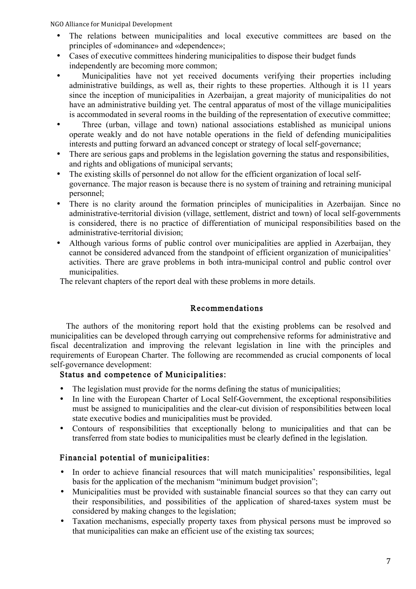- The relations between municipalities and local executive committees are based on the principles of «dominance» and «dependence»;
- Cases of executive committees hindering municipalities to dispose their budget funds independently are becoming more common;
- Municipalities have not yet received documents verifying their properties including administrative buildings, as well as, their rights to these properties. Although it is 11 years since the inception of municipalities in Azerbaijan, a great majority of municipalities do not have an administrative building yet. The central apparatus of most of the village municipalities is accommodated in several rooms in the building of the representation of executive committee;
- Three (urban, village and town) national associations established as municipal unions operate weakly and do not have notable operations in the field of defending municipalities interests and putting forward an advanced concept or strategy of local self-governance;
- There are serious gaps and problems in the legislation governing the status and responsibilities, and rights and obligations of municipal servants;
- The existing skills of personnel do not allow for the efficient organization of local selfgovernance. The major reason is because there is no system of training and retraining municipal personnel;
- There is no clarity around the formation principles of municipalities in Azerbaijan. Since no administrative-territorial division (village, settlement, district and town) of local self-governments is considered, there is no practice of differentiation of municipal responsibilities based on the administrative-territorial division;
- Although various forms of public control over municipalities are applied in Azerbaijan, they cannot be considered advanced from the standpoint of efficient organization of municipalities' activities. There are grave problems in both intra-municipal control and public control over municipalities.

The relevant chapters of the report deal with these problems in more details.

# Recommendations

The authors of the monitoring report hold that the existing problems can be resolved and municipalities can be developed through carrying out comprehensive reforms for administrative and fiscal decentralization and improving the relevant legislation in line with the principles and requirements of European Charter. The following are recommended as crucial components of local self-governance development:

# Status and competence of Municipalities:

- The legislation must provide for the norms defining the status of municipalities;
- In line with the European Charter of Local Self-Government, the exceptional responsibilities must be assigned to municipalities and the clear-cut division of responsibilities between local state executive bodies and municipalities must be provided.
- Contours of responsibilities that exceptionally belong to municipalities and that can be transferred from state bodies to municipalities must be clearly defined in the legislation.

# Financial potential of municipalities:

- In order to achieve financial resources that will match municipalities' responsibilities, legal basis for the application of the mechanism "minimum budget provision";
- Municipalities must be provided with sustainable financial sources so that they can carry out their responsibilities, and possibilities of the application of shared-taxes system must be considered by making changes to the legislation;
- Taxation mechanisms, especially property taxes from physical persons must be improved so that municipalities can make an efficient use of the existing tax sources;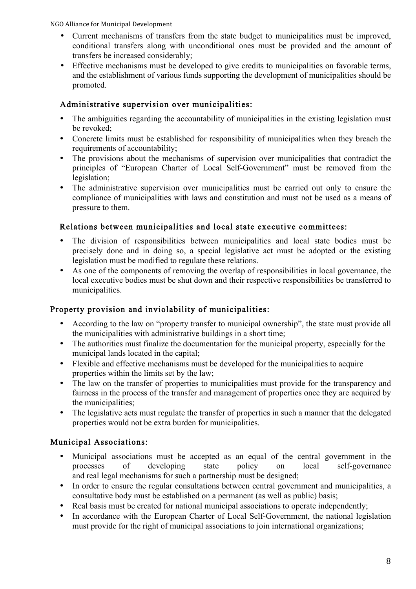- Current mechanisms of transfers from the state budget to municipalities must be improved, conditional transfers along with unconditional ones must be provided and the amount of transfers be increased considerably;
- Effective mechanisms must be developed to give credits to municipalities on favorable terms, and the establishment of various funds supporting the development of municipalities should be promoted.

# Administrative supervision over municipalities:

- The ambiguities regarding the accountability of municipalities in the existing legislation must be revoked;
- Concrete limits must be established for responsibility of municipalities when they breach the requirements of accountability;
- The provisions about the mechanisms of supervision over municipalities that contradict the principles of "European Charter of Local Self-Government" must be removed from the legislation;
- The administrative supervision over municipalities must be carried out only to ensure the compliance of municipalities with laws and constitution and must not be used as a means of pressure to them.

# Relations between municipalities and local state executive committees:

- The division of responsibilities between municipalities and local state bodies must be precisely done and in doing so, a special legislative act must be adopted or the existing legislation must be modified to regulate these relations.
- As one of the components of removing the overlap of responsibilities in local governance, the local executive bodies must be shut down and their respective responsibilities be transferred to municipalities.

# Property provision and inviolability of municipalities:

- According to the law on "property transfer to municipal ownership", the state must provide all the municipalities with administrative buildings in a short time;
- The authorities must finalize the documentation for the municipal property, especially for the municipal lands located in the capital;
- Flexible and effective mechanisms must be developed for the municipalities to acquire properties within the limits set by the law;
- The law on the transfer of properties to municipalities must provide for the transparency and fairness in the process of the transfer and management of properties once they are acquired by the municipalities;
- The legislative acts must regulate the transfer of properties in such a manner that the delegated properties would not be extra burden for municipalities.

# Municipal Associations:

- Municipal associations must be accepted as an equal of the central government in the processes of developing state policy on local self-governance processes of developing state policy on local self-governance and real legal mechanisms for such a partnership must be designed;
- In order to ensure the regular consultations between central government and municipalities, a consultative body must be established on a permanent (as well as public) basis;
- Real basis must be created for national municipal associations to operate independently;
- In accordance with the European Charter of Local Self-Government, the national legislation must provide for the right of municipal associations to join international organizations;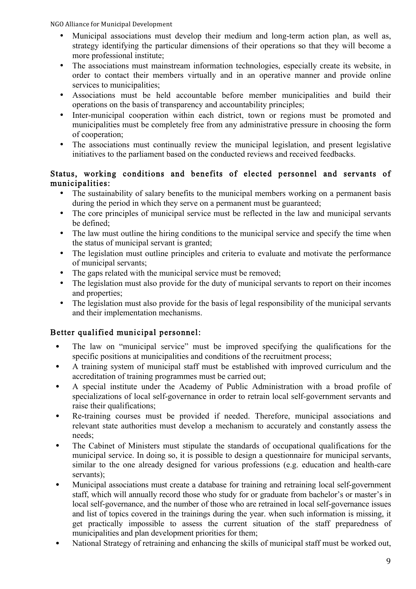- Municipal associations must develop their medium and long-term action plan, as well as, strategy identifying the particular dimensions of their operations so that they will become a more professional institute;
- The associations must mainstream information technologies, especially create its website, in order to contact their members virtually and in an operative manner and provide online services to municipalities;
- Associations must be held accountable before member municipalities and build their operations on the basis of transparency and accountability principles;
- Inter-municipal cooperation within each district, town or regions must be promoted and municipalities must be completely free from any administrative pressure in choosing the form of cooperation;
- The associations must continually review the municipal legislation, and present legislative initiatives to the parliament based on the conducted reviews and received feedbacks.

# Status, working conditions and benefits of elected personnel and servants of municipalities:

- The sustainability of salary benefits to the municipal members working on a permanent basis during the period in which they serve on a permanent must be guaranteed;
- The core principles of municipal service must be reflected in the law and municipal servants be defined;
- The law must outline the hiring conditions to the municipal service and specify the time when the status of municipal servant is granted;
- The legislation must outline principles and criteria to evaluate and motivate the performance of municipal servants;
- The gaps related with the municipal service must be removed;
- The legislation must also provide for the duty of municipal servants to report on their incomes and properties;
- The legislation must also provide for the basis of legal responsibility of the municipal servants and their implementation mechanisms.

# Better qualified municipal personnel:

- The law on "municipal service" must be improved specifying the qualifications for the specific positions at municipalities and conditions of the recruitment process;
- A training system of municipal staff must be established with improved curriculum and the accreditation of training programmes must be carried out;
- A special institute under the Academy of Public Administration with a broad profile of specializations of local self-governance in order to retrain local self-government servants and raise their qualifications;
- Re-training courses must be provided if needed. Therefore, municipal associations and relevant state authorities must develop a mechanism to accurately and constantly assess the needs;
- The Cabinet of Ministers must stipulate the standards of occupational qualifications for the municipal service. In doing so, it is possible to design a questionnaire for municipal servants, similar to the one already designed for various professions (e.g. education and health-care servants);
- Municipal associations must create a database for training and retraining local self-government staff, which will annually record those who study for or graduate from bachelor's or master's in local self-governance, and the number of those who are retrained in local self-governance issues and list of topics covered in the trainings during the year. when such information is missing, it get practically impossible to assess the current situation of the staff preparedness of municipalities and plan development priorities for them;
- National Strategy of retraining and enhancing the skills of municipal staff must be worked out,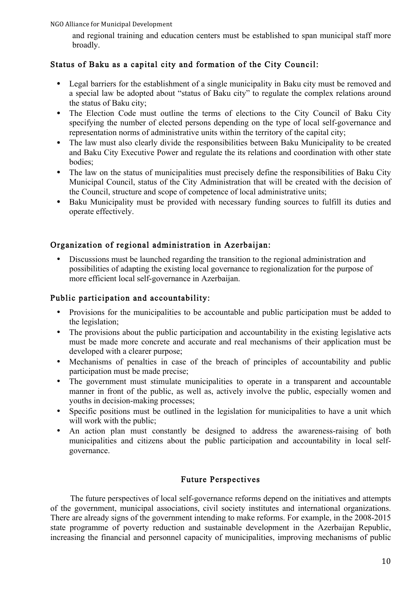and regional training and education centers must be established to span municipal staff more broadly.

# Status of Baku as a capital city and formation of the City Council:

- Legal barriers for the establishment of a single municipality in Baku city must be removed and a special law be adopted about "status of Baku city" to regulate the complex relations around the status of Baku city;
- The Election Code must outline the terms of elections to the City Council of Baku City specifying the number of elected persons depending on the type of local self-governance and representation norms of administrative units within the territory of the capital city;
- The law must also clearly divide the responsibilities between Baku Municipality to be created and Baku City Executive Power and regulate the its relations and coordination with other state bodies;
- The law on the status of municipalities must precisely define the responsibilities of Baku City Municipal Council, status of the City Administration that will be created with the decision of the Council, structure and scope of competence of local administrative units;
- Baku Municipality must be provided with necessary funding sources to fulfill its duties and operate effectively.

# Organization of regional administration in Azerbaijan:

• Discussions must be launched regarding the transition to the regional administration and possibilities of adapting the existing local governance to regionalization for the purpose of more efficient local self-governance in Azerbaijan.

# Public participation and accountability:

- Provisions for the municipalities to be accountable and public participation must be added to the legislation;
- The provisions about the public participation and accountability in the existing legislative acts must be made more concrete and accurate and real mechanisms of their application must be developed with a clearer purpose;
- Mechanisms of penalties in case of the breach of principles of accountability and public participation must be made precise;
- The government must stimulate municipalities to operate in a transparent and accountable manner in front of the public, as well as, actively involve the public, especially women and youths in decision-making processes;
- Specific positions must be outlined in the legislation for municipalities to have a unit which will work with the public;
- An action plan must constantly be designed to address the awareness-raising of both municipalities and citizens about the public participation and accountability in local selfgovernance.

# Future Perspectives

The future perspectives of local self-governance reforms depend on the initiatives and attempts of the government, municipal associations, civil society institutes and international organizations. There are already signs of the government intending to make reforms. For example, in the 2008-2015 state programme of poverty reduction and sustainable development in the Azerbaijan Republic, increasing the financial and personnel capacity of municipalities, improving mechanisms of public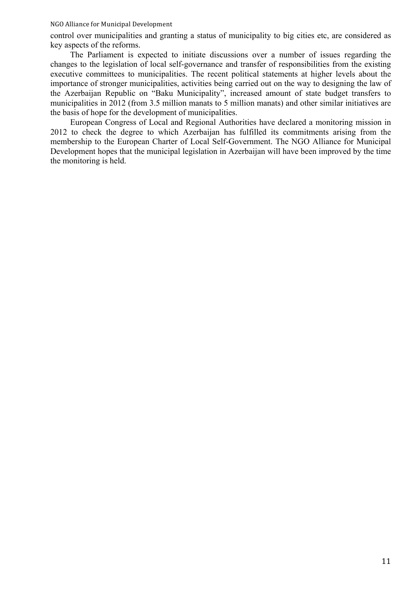control over municipalities and granting a status of municipality to big cities etc, are considered as key aspects of the reforms.

The Parliament is expected to initiate discussions over a number of issues regarding the changes to the legislation of local self-governance and transfer of responsibilities from the existing executive committees to municipalities. The recent political statements at higher levels about the importance of stronger municipalities, activities being carried out on the way to designing the law of the Azerbaijan Republic on "Baku Municipality", increased amount of state budget transfers to municipalities in 2012 (from 3.5 million manats to 5 million manats) and other similar initiatives are the basis of hope for the development of municipalities.

European Congress of Local and Regional Authorities have declared a monitoring mission in 2012 to check the degree to which Azerbaijan has fulfilled its commitments arising from the membership to the European Charter of Local Self-Government. The NGO Alliance for Municipal Development hopes that the municipal legislation in Azerbaijan will have been improved by the time the monitoring is held.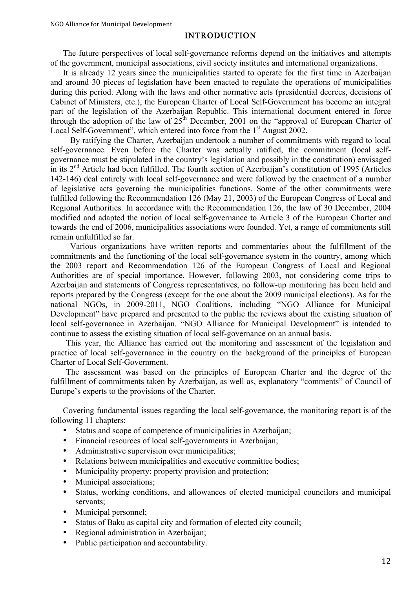### INTRODUCTION

The future perspectives of local self-governance reforms depend on the initiatives and attempts of the government, municipal associations, civil society institutes and international organizations.

It is already 12 years since the municipalities started to operate for the first time in Azerbaijan and around 30 pieces of legislation have been enacted to regulate the operations of municipalities during this period. Along with the laws and other normative acts (presidential decrees, decisions of Cabinet of Ministers, etc.), the European Charter of Local Self-Government has become an integral part of the legislation of the Azerbaijan Republic. This international document entered in force through the adoption of the law of  $25<sup>th</sup>$  December, 2001 on the "approval of European Charter of Local Self-Government", which entered into force from the 1<sup>st</sup> August 2002.

By ratifying the Charter, Azerbaijan undertook a number of commitments with regard to local self-governance. Even before the Charter was actually ratified, the commitment (local selfgovernance must be stipulated in the country's legislation and possibly in the constitution) envisaged in its  $2<sup>nd</sup>$  Article had been fulfilled. The fourth section of Azerbaijan's constitution of 1995 (Articles 142-146) deal entirely with local self-governance and were followed by the enactment of a number of legislative acts governing the municipalities functions. Some of the other commitments were fulfilled following the Recommendation 126 (May 21, 2003) of the European Congress of Local and Regional Authorities. In accordance with the Recommendation 126, the law of 30 December, 2004 modified and adapted the notion of local self-governance to Article 3 of the European Charter and towards the end of 2006, municipalities associations were founded. Yet, a range of commitments still remain unfulfilled so far.

Various organizations have written reports and commentaries about the fulfillment of the commitments and the functioning of the local self-governance system in the country, among which the 2003 report and Recommendation 126 of the European Congress of Local and Regional Authorities are of special importance. However, following 2003, not considering come trips to Azerbaijan and statements of Congress representatives, no follow-up monitoring has been held and reports prepared by the Congress (except for the one about the 2009 municipal elections). As for the national NGOs, in 2009-2011, NGO Coalitions, including "NGO Alliance for Municipal Development" have prepared and presented to the public the reviews about the existing situation of local self-governance in Azerbaijan. "NGO Alliance for Municipal Development" is intended to continue to assess the existing situation of local self-governance on an annual basis.

This year, the Alliance has carried out the monitoring and assessment of the legislation and practice of local self-governance in the country on the background of the principles of European Charter of Local Self-Government.

The assessment was based on the principles of European Charter and the degree of the fulfillment of commitments taken by Azerbaijan, as well as, explanatory "comments" of Council of Europe's experts to the provisions of the Charter.

Covering fundamental issues regarding the local self-governance, the monitoring report is of the following 11 chapters:

- Status and scope of competence of municipalities in Azerbaijan;
- Financial resources of local self-governments in Azerbaijan;
- Administrative supervision over municipalities:
- Relations between municipalities and executive committee bodies;
- Municipality property: property provision and protection;
- Municipal associations;
- Status, working conditions, and allowances of elected municipal councilors and municipal servants;
- Municipal personnel;
- Status of Baku as capital city and formation of elected city council;
- Regional administration in Azerbaijan;
- Public participation and accountability.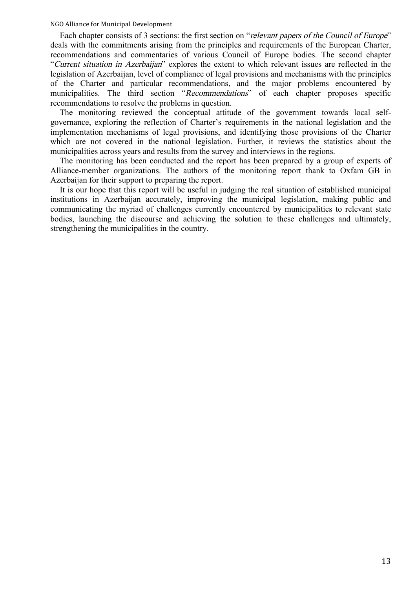Each chapter consists of 3 sections: the first section on "relevant papers of the Council of Europe" deals with the commitments arising from the principles and requirements of the European Charter, recommendations and commentaries of various Council of Europe bodies. The second chapter "Current situation in Azerbaijan" explores the extent to which relevant issues are reflected in the legislation of Azerbaijan, level of compliance of legal provisions and mechanisms with the principles of the Charter and particular recommendations, and the major problems encountered by municipalities. The third section "Recommendations" of each chapter proposes specific recommendations to resolve the problems in question.

The monitoring reviewed the conceptual attitude of the government towards local selfgovernance, exploring the reflection of Charter's requirements in the national legislation and the implementation mechanisms of legal provisions, and identifying those provisions of the Charter which are not covered in the national legislation. Further, it reviews the statistics about the municipalities across years and results from the survey and interviews in the regions.

The monitoring has been conducted and the report has been prepared by a group of experts of Alliance-member organizations. The authors of the monitoring report thank to Oxfam GB in Azerbaijan for their support to preparing the report.

It is our hope that this report will be useful in judging the real situation of established municipal institutions in Azerbaijan accurately, improving the municipal legislation, making public and communicating the myriad of challenges currently encountered by municipalities to relevant state bodies, launching the discourse and achieving the solution to these challenges and ultimately, strengthening the municipalities in the country.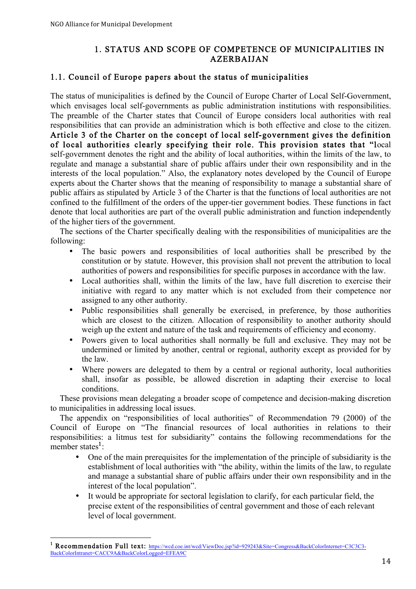# 1. STATUS AND SCOPE OF COMPETENCE OF MUNICIPALITIES IN AZERBAIJAN

### 1.1. Council of Europe papers about the status of municipalities

The status of municipalities is defined by the Council of Europe Charter of Local Self-Government, which envisages local self-governments as public administration institutions with responsibilities. The preamble of the Charter states that Council of Europe considers local authorities with real responsibilities that can provide an administration which is both effective and close to the citizen. Article 3 of the Charter on the concept of local self-government gives the definition of local authorities clearly specifying their role. This provision states that "local self-government denotes the right and the ability of local authorities, within the limits of the law, to regulate and manage a substantial share of public affairs under their own responsibility and in the interests of the local population." Also, the explanatory notes developed by the Council of Europe experts about the Charter shows that the meaning of responsibility to manage a substantial share of public affairs as stipulated by Article 3 of the Charter is that the functions of local authorities are not confined to the fulfillment of the orders of the upper-tier government bodies. These functions in fact denote that local authorities are part of the overall public administration and function independently of the higher tiers of the government.

The sections of the Charter specifically dealing with the responsibilities of municipalities are the following:

- The basic powers and responsibilities of local authorities shall be prescribed by the constitution or by statute. However, this provision shall not prevent the attribution to local authorities of powers and responsibilities for specific purposes in accordance with the law.
- Local authorities shall, within the limits of the law, have full discretion to exercise their initiative with regard to any matter which is not excluded from their competence nor assigned to any other authority.
- Public responsibilities shall generally be exercised, in preference, by those authorities which are closest to the citizen. Allocation of responsibility to another authority should weigh up the extent and nature of the task and requirements of efficiency and economy.
- Powers given to local authorities shall normally be full and exclusive. They may not be undermined or limited by another, central or regional, authority except as provided for by the law.
- Where powers are delegated to them by a central or regional authority, local authorities shall, insofar as possible, be allowed discretion in adapting their exercise to local conditions.

These provisions mean delegating a broader scope of competence and decision-making discretion to municipalities in addressing local issues.

The appendix on "responsibilities of local authorities" of Recommendation 79 (2000) of the Council of Europe on "The financial resources of local authorities in relations to their responsibilities: a litmus test for subsidiarity" contains the following recommendations for the member states $<sup>1</sup>$ :</sup>

- One of the main prerequisites for the implementation of the principle of subsidiarity is the establishment of local authorities with "the ability, within the limits of the law, to regulate and manage a substantial share of public affairs under their own responsibility and in the interest of the local population".
- It would be appropriate for sectoral legislation to clarify, for each particular field, the precise extent of the responsibilities of central government and those of each relevant level of local government.

<sup>-&</sup>lt;br>1 <sup>1</sup> Recommendation Full text: https://wcd.coe.int/wcd/ViewDoc.jsp?id=929243&Site=Congress&BackColorInternet=C3C3C3-BackColorIntranet=CACC9A&BackColorLogged=EFEA9C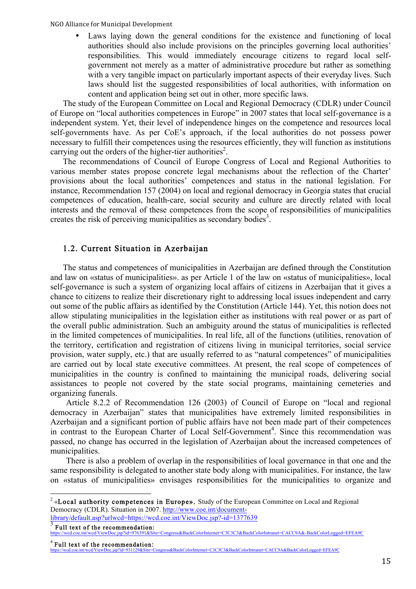Laws laying down the general conditions for the existence and functioning of local authorities should also include provisions on the principles governing local authorities' responsibilities. This would immediately encourage citizens to regard local selfgovernment not merely as a matter of administrative procedure but rather as something with a very tangible impact on particularly important aspects of their everyday lives. Such laws should list the suggested responsibilities of local authorities, with information on content and application being set out in other, more specific laws.

The study of the European Committee on Local and Regional Democracy (CDLR) under Council of Europe on "local authorities competences in Europe" in 2007 states that local self-governance is a independent system. Yet, their level of independence hinges on the competence and resources local self-governments have. As per CoE's approach, if the local authorities do not possess power necessary to fulfill their competences using the resources efficiently, they will function as institutions carrying out the orders of the higher-tier authorities<sup>2</sup>.

The recommendations of Council of Europe Congress of Local and Regional Authorities to various member states propose concrete legal mechanisms about the reflection of the Charter' provisions about the local authorities' competences and status in the national legislation. For instance, Recommendation 157 (2004) on local and regional democracy in Georgia states that crucial competences of education, health-care, social security and culture are directly related with local interests and the removal of these competences from the scope of responsibilities of municipalities creates the risk of perceiving municipalities as secondary bodies<sup>3</sup>.

### 1.2. Current Situation in Azerbaijan

The status and competences of municipalities in Azerbaijan are defined through the Constitution and law on «status of municipalities». as per Article 1 of the law on «status of municipalities», local self-governance is such a system of organizing local affairs of citizens in Azerbaijan that it gives a chance to citizens to realize their discretionary right to addressing local issues independent and carry out some of the public affairs as identified by the Constitution (Article 144). Yet, this notion does not allow stipulating municipalities in the legislation either as institutions with real power or as part of the overall public administration. Such an ambiguity around the status of municipalities is reflected in the limited competences of municipalities. In real life, all of the functions (utilities, renovation of the territory, certification and registration of citizens living in municipal territories, social service provision, water supply, etc.) that are usually referred to as "natural competences" of municipalities are carried out by local state executive committees. At present, the real scope of competences of municipalities in the country is confined to maintaining the municipal roads, delivering social assistances to people not covered by the state social programs, maintaining cemeteries and organizing funerals.

Article 8.2.2 of Recommendation 126 (2003) of Council of Europe on "local and regional democracy in Azerbaijan" states that municipalities have extremely limited responsibilities in Azerbaijan and a significant portion of public affairs have not been made part of their competences in contrast to the European Charter of Local Self-Government<sup>4</sup>. Since this recommendation was passed, no change has occurred in the legislation of Azerbaijan about the increased competences of municipalities.

There is also a problem of overlap in the responsibilities of local governance in that one and the same responsibility is delegated to another state body along with municipalities. For instance, the law on «status of municipalities» envisages responsibilities for the municipalities to organize and

 $2 \times$ Local authority competences in Europe». Study of the European Committee on Local and Regional Democracy (CDLR). Situation in 2007. http://www.coe.int/document-

<sup>1</sup>ibrary/default.asp?urlwcd=https://wcd.coe.int/ViewDoc.jsp?-id=1377639<br>
Full text of the recommendation:<br>
https://wcd.coe.int/wcd/ViewDoc.jsp?id=976391&Site=Congress&BackColorInternet=C3C3C3&BackColorIntranet=CACC9A&-BackC

Full text of the recommendation:<br>ttps://wcd.coe.int/wcd/ViewDoc.jsp?id=931129&Site=Congress&BackColorInternet=C3C3C3&BackColorIntranet=CACC9A&BackColorLogged=EFEA9C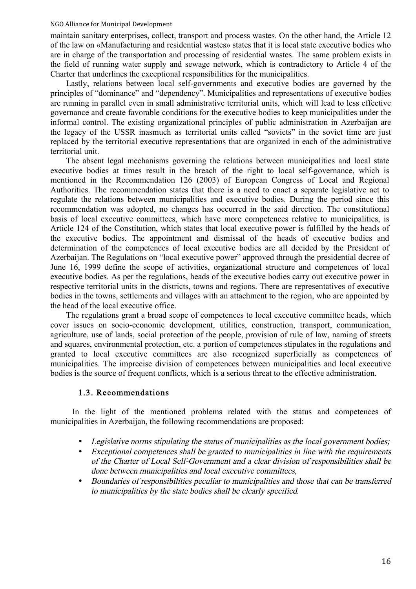maintain sanitary enterprises, collect, transport and process wastes. On the other hand, the Article 12 of the law on «Manufacturing and residential wastes» states that it is local state executive bodies who are in charge of the transportation and processing of residential wastes. The same problem exists in the field of running water supply and sewage network, which is contradictory to Article 4 of the Charter that underlines the exceptional responsibilities for the municipalities.

Lastly, relations between local self-governments and executive bodies are governed by the principles of "dominance" and "dependency". Municipalities and representations of executive bodies are running in parallel even in small administrative territorial units, which will lead to less effective governance and create favorable conditions for the executive bodies to keep municipalities under the informal control. The existing organizational principles of public administration in Azerbaijan are the legacy of the USSR inasmuch as territorial units called "soviets" in the soviet time are just replaced by the territorial executive representations that are organized in each of the administrative territorial unit.

The absent legal mechanisms governing the relations between municipalities and local state executive bodies at times result in the breach of the right to local self-governance, which is mentioned in the Recommendation 126 (2003) of European Congress of Local and Regional Authorities. The recommendation states that there is a need to enact a separate legislative act to regulate the relations between municipalities and executive bodies. During the period since this recommendation was adopted, no changes has occurred in the said direction. The constitutional basis of local executive committees, which have more competences relative to municipalities, is Article 124 of the Constitution, which states that local executive power is fulfilled by the heads of the executive bodies. The appointment and dismissal of the heads of executive bodies and determination of the competences of local executive bodies are all decided by the President of Azerbaijan. The Regulations on "local executive power" approved through the presidential decree of June 16, 1999 define the scope of activities, organizational structure and competences of local executive bodies. As per the regulations, heads of the executive bodies carry out executive power in respective territorial units in the districts, towns and regions. There are representatives of executive bodies in the towns, settlements and villages with an attachment to the region, who are appointed by the head of the local executive office.

The regulations grant a broad scope of competences to local executive committee heads, which cover issues on socio-economic development, utilities, construction, transport, communication, agriculture, use of lands, social protection of the people, provision of rule of law, naming of streets and squares, environmental protection, etc. a portion of competences stipulates in the regulations and granted to local executive committees are also recognized superficially as competences of municipalities. The imprecise division of competences between municipalities and local executive bodies is the source of frequent conflicts, which is a serious threat to the effective administration.

### 1.3. Recommendations

In the light of the mentioned problems related with the status and competences of municipalities in Azerbaijan, the following recommendations are proposed:

- Legislative norms stipulating the status of municipalities as the local government bodies;
- Exceptional competences shall be granted to municipalities in line with the requirements of the Charter of Local Self-Government and a clear division of responsibilities shall be done between municipalities and local executive committees,
- Boundaries of responsibilities peculiar to municipalities and those that can be transferred to municipalities by the state bodies shall be clearly specified.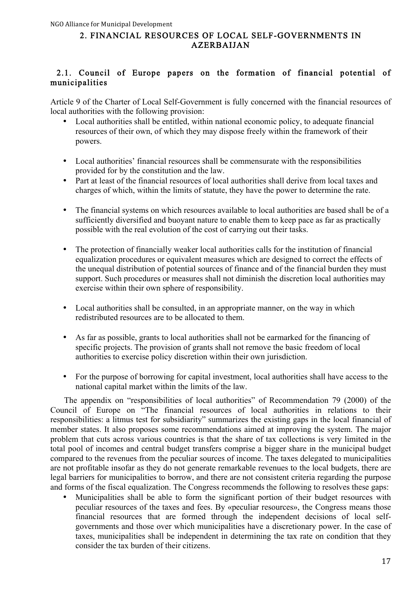### 2. FINANCIAL RESOURCES OF LOCAL SELF-GOVERNMENTS IN AZERBAIJAN

### 2.1. Council of Europe papers on the formation of financial potential of municipalities

Article 9 of the Charter of Local Self-Government is fully concerned with the financial resources of local authorities with the following provision:

- Local authorities shall be entitled, within national economic policy, to adequate financial resources of their own, of which they may dispose freely within the framework of their powers.
- Local authorities' financial resources shall be commensurate with the responsibilities provided for by the constitution and the law.
- Part at least of the financial resources of local authorities shall derive from local taxes and charges of which, within the limits of statute, they have the power to determine the rate.
- The financial systems on which resources available to local authorities are based shall be of a sufficiently diversified and buoyant nature to enable them to keep pace as far as practically possible with the real evolution of the cost of carrying out their tasks.
- The protection of financially weaker local authorities calls for the institution of financial equalization procedures or equivalent measures which are designed to correct the effects of the unequal distribution of potential sources of finance and of the financial burden they must support. Such procedures or measures shall not diminish the discretion local authorities may exercise within their own sphere of responsibility.
- Local authorities shall be consulted, in an appropriate manner, on the way in which redistributed resources are to be allocated to them.
- As far as possible, grants to local authorities shall not be earmarked for the financing of specific projects. The provision of grants shall not remove the basic freedom of local authorities to exercise policy discretion within their own jurisdiction.
- For the purpose of borrowing for capital investment, local authorities shall have access to the national capital market within the limits of the law.

 The appendix on "responsibilities of local authorities" of Recommendation 79 (2000) of the Council of Europe on "The financial resources of local authorities in relations to their responsibilities: a litmus test for subsidiarity" summarizes the existing gaps in the local financial of member states. It also proposes some recommendations aimed at improving the system. The major problem that cuts across various countries is that the share of tax collections is very limited in the total pool of incomes and central budget transfers comprise a bigger share in the municipal budget compared to the revenues from the peculiar sources of income. The taxes delegated to municipalities are not profitable insofar as they do not generate remarkable revenues to the local budgets, there are legal barriers for municipalities to borrow, and there are not consistent criteria regarding the purpose and forms of the fiscal equalization. The Congress recommends the following to resolves these gaps:

• Municipalities shall be able to form the significant portion of their budget resources with peculiar resources of the taxes and fees. By «peculiar resources», the Congress means those financial resources that are formed through the independent decisions of local selfgovernments and those over which municipalities have a discretionary power. In the case of taxes, municipalities shall be independent in determining the tax rate on condition that they consider the tax burden of their citizens.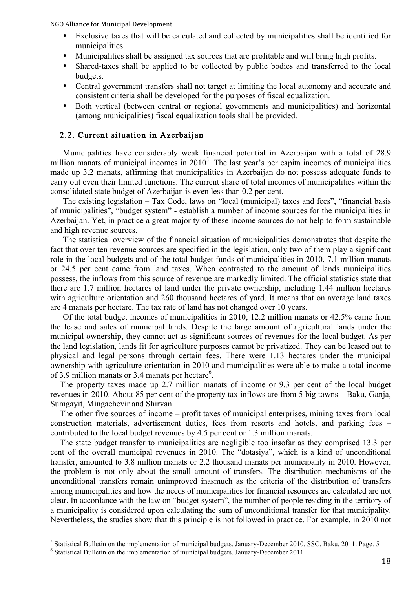- Exclusive taxes that will be calculated and collected by municipalities shall be identified for municipalities.
- Municipalities shall be assigned tax sources that are profitable and will bring high profits.
- Shared-taxes shall be applied to be collected by public bodies and transferred to the local budgets.
- Central government transfers shall not target at limiting the local autonomy and accurate and consistent criteria shall be developed for the purposes of fiscal equalization.
- Both vertical (between central or regional governments and municipalities) and horizontal (among municipalities) fiscal equalization tools shall be provided.

### 2.2. Current situation in Azerbaijan

Municipalities have considerably weak financial potential in Azerbaijan with a total of 28.9 million manats of municipal incomes in  $2010<sup>5</sup>$ . The last year's per capita incomes of municipalities made up 3.2 manats, affirming that municipalities in Azerbaijan do not possess adequate funds to carry out even their limited functions. The current share of total incomes of municipalities within the consolidated state budget of Azerbaijan is even less than 0.2 per cent.

The existing legislation – Tax Code, laws on "local (municipal) taxes and fees", "financial basis of municipalities", "budget system" - establish a number of income sources for the municipalities in Azerbaijan. Yet, in practice a great majority of these income sources do not help to form sustainable and high revenue sources.

The statistical overview of the financial situation of municipalities demonstrates that despite the fact that over ten revenue sources are specified in the legislation, only two of them play a significant role in the local budgets and of the total budget funds of municipalities in 2010, 7.1 million manats or 24.5 per cent came from land taxes. When contrasted to the amount of lands municipalities possess, the inflows from this source of revenue are markedly limited. The official statistics state that there are 1.7 million hectares of land under the private ownership, including 1.44 million hectares with agriculture orientation and 260 thousand hectares of yard. It means that on average land taxes are 4 manats per hectare. The tax rate of land has not changed over 10 years.

Of the total budget incomes of municipalities in 2010, 12.2 million manats or 42.5% came from the lease and sales of municipal lands. Despite the large amount of agricultural lands under the municipal ownership, they cannot act as significant sources of revenues for the local budget. As per the land legislation, lands fit for agriculture purposes cannot be privatized. They can be leased out to physical and legal persons through certain fees. There were 1.13 hectares under the municipal ownership with agriculture orientation in 2010 and municipalities were able to make a total income of 3.9 million manats or 3.4 manats per hectare $6$ .

The property taxes made up 2.7 million manats of income or 9.3 per cent of the local budget revenues in 2010. About 85 per cent of the property tax inflows are from 5 big towns – Baku, Ganja, Sumgayit, Mingachevir and Shirvan.

The other five sources of income – profit taxes of municipal enterprises, mining taxes from local construction materials, advertisement duties, fees from resorts and hotels, and parking fees – contributed to the local budget revenues by 4.5 per cent or 1.3 million manats.

The state budget transfer to municipalities are negligible too insofar as they comprised 13.3 per cent of the overall municipal revenues in 2010. The "dotasiya", which is a kind of unconditional transfer, amounted to 3.8 million manats or 2.2 thousand manats per municipality in 2010. However, the problem is not only about the small amount of transfers. The distribution mechanisms of the unconditional transfers remain unimproved inasmuch as the criteria of the distribution of transfers among municipalities and how the needs of municipalities for financial resources are calculated are not clear. In accordance with the law on "budget system", the number of people residing in the territory of a municipality is considered upon calculating the sum of unconditional transfer for that municipality. Nevertheless, the studies show that this principle is not followed in practice. For example, in 2010 not

<sup>&</sup>lt;sup>5</sup> Statistical Bulletin on the implementation of municipal budgets. January-December 2010. SSC, Baku, 2011. Page. 5  $\degree$  Statistical Bulletin on the implementation of municipal budgets. January-December 2011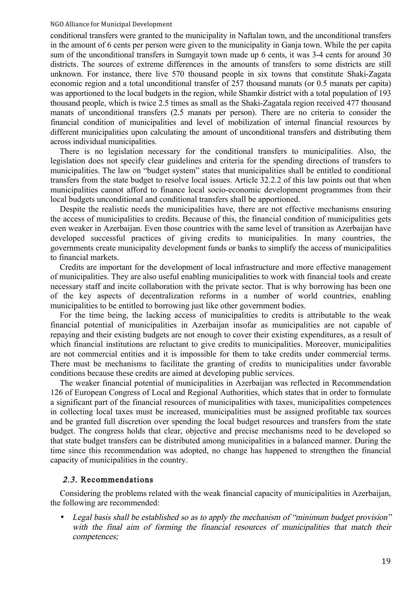conditional transfers were granted to the municipality in Naftalan town, and the unconditional transfers in the amount of 6 cents per person were given to the municipality in Ganja town. While the per capita sum of the unconditional transfers in Sumgayit town made up 6 cents, it was 3-4 cents for around 30 districts. The sources of extreme differences in the amounts of transfers to some districts are still unknown. For instance, there live 570 thousand people in six towns that constitute Shaki-Zagata economic region and a total unconditional transfer of 257 thousand manats (or 0.5 manats per capita) was apportioned to the local budgets in the region, while Shamkir district with a total population of 193 thousand people, which is twice 2.5 times as small as the Shaki-Zagatala region received 477 thousand manats of unconditional transfers (2.5 manats per person). There are no criteria to consider the financial condition of municipalities and level of mobilization of internal financial resources by different municipalities upon calculating the amount of unconditional transfers and distributing them across individual municipalities.

There is no legislation necessary for the conditional transfers to municipalities. Also, the legislation does not specify clear guidelines and criteria for the spending directions of transfers to municipalities. The law on "budget system" states that municipalities shall be entitled to conditional transfers from the state budget to resolve local issues. Article 32.2.2 of this law points out that when municipalities cannot afford to finance local socio-economic development programmes from their local budgets unconditional and conditional transfers shall be apportioned.

Despite the realistic needs the municipalities have, there are not effective mechanisms ensuring the access of municipalities to credits. Because of this, the financial condition of municipalities gets even weaker in Azerbaijan. Even those countries with the same level of transition as Azerbaijan have developed successful practices of giving credits to municipalities. In many countries, the governments create municipality development funds or banks to simplify the access of municipalities to financial markets.

Credits are important for the development of local infrastructure and more effective management of municipalities. They are also useful enabling municipalities to work with financial tools and create necessary staff and incite collaboration with the private sector. That is why borrowing has been one of the key aspects of decentralization reforms in a number of world countries, enabling municipalities to be entitled to borrowing just like other government bodies.

For the time being, the lacking access of municipalities to credits is attributable to the weak financial potential of municipalities in Azerbaijan insofar as municipalities are not capable of repaying and their existing budgets are not enough to cover their existing expenditures, as a result of which financial institutions are reluctant to give credits to municipalities. Moreover, municipalities are not commercial entities and it is impossible for them to take credits under commercial terms. There must be mechanisms to facilitate the granting of credits to municipalities under favorable conditions because these credits are aimed at developing public services.

The weaker financial potential of municipalities in Azerbaijan was reflected in Recommendation 126 of European Congress of Local and Regional Authorities, which states that in order to formulate a significant part of the financial resources of municipalities with taxes, municipalities competences in collecting local taxes must be increased, municipalities must be assigned profitable tax sources and be granted full discretion over spending the local budget resources and transfers from the state budget. The congress holds that clear, objective and precise mechanisms need to be developed so that state budget transfers can be distributed among municipalities in a balanced manner. During the time since this recommendation was adopted, no change has happened to strengthen the financial capacity of municipalities in the country.

#### 2.3. Recommendations

Considering the problems related with the weak financial capacity of municipalities in Azerbaijan, the following are recommended:

• Legal basis shall be established so as to apply the mechanism of "minimum budget provision" with the final aim of forming the financial resources of municipalities that match their competences;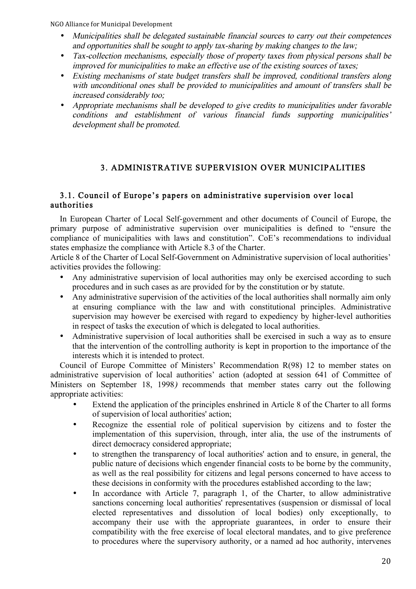- Municipalities shall be delegated sustainable financial sources to carry out their competences and opportunities shall be sought to apply tax-sharing by making changes to the law;
- Tax-collection mechanisms, especially those of property taxes from physical persons shall be improved for municipalities to make an effective use of the existing sources of taxes;
- Existing mechanisms of state budget transfers shall be improved, conditional transfers along with unconditional ones shall be provided to municipalities and amount of transfers shall be increased considerably too;
- Appropriate mechanisms shall be developed to give credits to municipalities under favorable conditions and establishment of various financial funds supporting municipalities' development shall be promoted.

# 3. ADMINISTRATIVE SUPERVISION OVER MUNICIPALITIES

### 3.1. Council of Europe's papers on administrative supervision over local authorities

In European Charter of Local Self-government and other documents of Council of Europe, the primary purpose of administrative supervision over municipalities is defined to "ensure the compliance of municipalities with laws and constitution". CoE's recommendations to individual states emphasize the compliance with Article 8.3 of the Charter.

Article 8 of the Charter of Local Self-Government on Administrative supervision of local authorities' activities provides the following:

- Any administrative supervision of local authorities may only be exercised according to such procedures and in such cases as are provided for by the constitution or by statute.
- Any administrative supervision of the activities of the local authorities shall normally aim only at ensuring compliance with the law and with constitutional principles. Administrative supervision may however be exercised with regard to expediency by higher-level authorities in respect of tasks the execution of which is delegated to local authorities.
- Administrative supervision of local authorities shall be exercised in such a way as to ensure that the intervention of the controlling authority is kept in proportion to the importance of the interests which it is intended to protect.

Council of Europe Committee of Ministers' Recommendation R(98) 12 to member states on administrative supervision of local authorities' action (adopted at session 641 of Committee of Ministers on September 18, 1998) recommends that member states carry out the following appropriate activities:

- Extend the application of the principles enshrined in Article 8 of the Charter to all forms of supervision of local authorities' action;
- Recognize the essential role of political supervision by citizens and to foster the implementation of this supervision, through, inter alia, the use of the instruments of direct democracy considered appropriate;
- to strengthen the transparency of local authorities' action and to ensure, in general, the public nature of decisions which engender financial costs to be borne by the community, as well as the real possibility for citizens and legal persons concerned to have access to these decisions in conformity with the procedures established according to the law;
- In accordance with Article 7, paragraph 1, of the Charter, to allow administrative sanctions concerning local authorities' representatives (suspension or dismissal of local elected representatives and dissolution of local bodies) only exceptionally, to accompany their use with the appropriate guarantees, in order to ensure their compatibility with the free exercise of local electoral mandates, and to give preference to procedures where the supervisory authority, or a named ad hoc authority, intervenes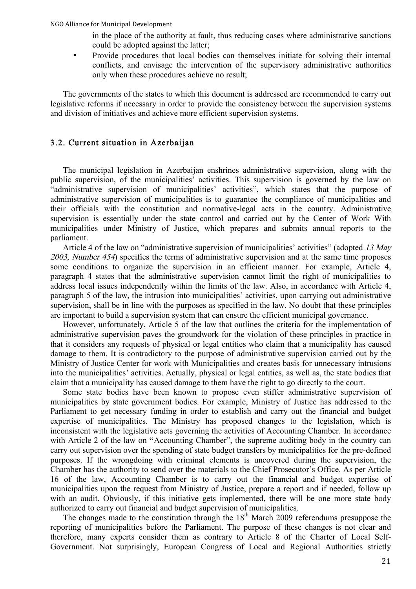in the place of the authority at fault, thus reducing cases where administrative sanctions could be adopted against the latter;

• Provide procedures that local bodies can themselves initiate for solving their internal conflicts, and envisage the intervention of the supervisory administrative authorities only when these procedures achieve no result;

The governments of the states to which this document is addressed are recommended to carry out legislative reforms if necessary in order to provide the consistency between the supervision systems and division of initiatives and achieve more efficient supervision systems.

### 3.2. Current situation in Azerbaijan

The municipal legislation in Azerbaijan enshrines administrative supervision, along with the public supervision, of the municipalities' activities. This supervision is governed by the law on "administrative supervision of municipalities' activities", which states that the purpose of administrative supervision of municipalities is to guarantee the compliance of municipalities and their officials with the constitution and normative-legal acts in the country. Administrative supervision is essentially under the state control and carried out by the Center of Work With municipalities under Ministry of Justice, which prepares and submits annual reports to the parliament.

Article 4 of the law on "administrative supervision of municipalities' activities" (adopted 13 May 2003, Number 454) specifies the terms of administrative supervision and at the same time proposes some conditions to organize the supervision in an efficient manner. For example, Article 4, paragraph 4 states that the administrative supervision cannot limit the right of municipalities to address local issues independently within the limits of the law. Also, in accordance with Article 4, paragraph 5 of the law, the intrusion into municipalities' activities, upon carrying out administrative supervision, shall be in line with the purposes as specified in the law. No doubt that these principles are important to build a supervision system that can ensure the efficient municipal governance.

However, unfortunately, Article 5 of the law that outlines the criteria for the implementation of administrative supervision paves the groundwork for the violation of these principles in practice in that it considers any requests of physical or legal entities who claim that a municipality has caused damage to them. It is contradictory to the purpose of administrative supervision carried out by the Ministry of Justice Center for work with Municipalities and creates basis for unnecessary intrusions into the municipalities' activities. Actually, physical or legal entities, as well as, the state bodies that claim that a municipality has caused damage to them have the right to go directly to the court.

Some state bodies have been known to propose even stiffer administrative supervision of municipalities by state government bodies. For example, Ministry of Justice has addressed to the Parliament to get necessary funding in order to establish and carry out the financial and budget expertise of municipalities. The Ministry has proposed changes to the legislation, which is inconsistent with the legislative acts governing the activities of Accounting Chamber. In accordance with Article 2 of the law on "Accounting Chamber", the supreme auditing body in the country can carry out supervision over the spending of state budget transfers by municipalities for the pre-defined purposes. If the wrongdoing with criminal elements is uncovered during the supervision, the Chamber has the authority to send over the materials to the Chief Prosecutor's Office. As per Article 16 of the law, Accounting Chamber is to carry out the financial and budget expertise of municipalities upon the request from Ministry of Justice, prepare a report and if needed, follow up with an audit. Obviously, if this initiative gets implemented, there will be one more state body authorized to carry out financial and budget supervision of municipalities.

The changes made to the constitution through the  $18<sup>th</sup>$  March 2009 referendums presuppose the reporting of municipalities before the Parliament. The purpose of these changes is not clear and therefore, many experts consider them as contrary to Article 8 of the Charter of Local Self-Government. Not surprisingly, European Congress of Local and Regional Authorities strictly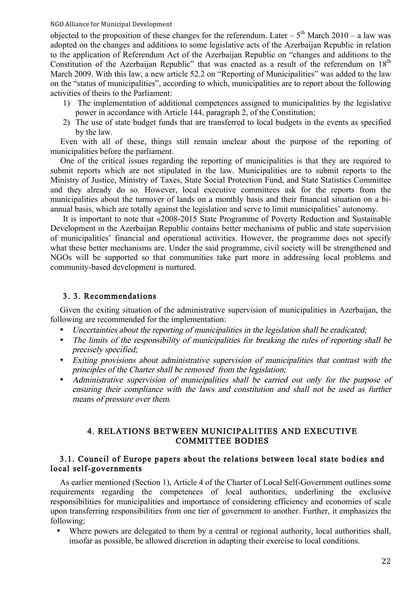objected to the proposition of these changes for the referendum. Later –  $5<sup>th</sup>$  March 2010 – a law was adopted on the changes and additions to some legislative acts of the Azerbaijan Republic in relation to the application of Referendum Act of the Azerbaijan Republic on "changes and additions to the Constitution of the Azerbaijan Republic" that was enacted as a result of the referendum on  $18<sup>th</sup>$ March 2009. With this law, a new article 52.2 on "Reporting of Municipalities" was added to the law on the "status of municipalities", according to which, municipalities are to report about the following activities of theirs to the Parliament:

- 1) The implementation of additional competences assigned to municipalities by the legislative power in accordance with Article 144, paragraph 2, of the Constitution;
- 2) The use of state budget funds that are transferred to local budgets in the events as specified by the law.

Even with all of these, things still remain unclear about the purpose of the reporting of municipalities before the parliament.

One of the critical issues regarding the reporting of municipalities is that they are required to submit reports which are not stipulated in the law. Municipalities are to submit reports to the Ministry of Justice, Ministry of Taxes, State Social Protection Fund, and State Statistics Committee and they already do so. However, local executive committees ask for the reports from the municipalities about the turnover of lands on a monthly basis and their financial situation on a biannual basis, which are totally against the legislation and serve to limit municipalities' autonomy.

It is important to note that «2008-2015 State Programme of Poverty Reduction and Sustainable Development in the Azerbaijan Republic contains better mechanisms of public and state supervision of municipalities' financial and operational activities. However, the programme does not specify what these better mechanisms are. Under the said programme, civil society will be strengthened and NGOs will be supported so that communities take part more in addressing local problems and community-based development is nurtured.

### 3. 3. Recommendations

Given the exiting situation of the administrative supervision of municipalities in Azerbaijan, the following are recommended for the implementation:

- Uncertainties about the reporting of municipalities in the legislation shall be eradicated;
- The limits of the responsibility of municipalities for breaking the rules of reporting shall be precisely specified;
- Exiting provisions about administrative supervision of municipalities that contrast with the principles of the Charter shall be removed from the legislation;
- Administrative supervision of municipalities shall be carried out only for the purpose of ensuring their compliance with the laws and constitution and shall not be used as further means of pressure over them.

### 4. RELATIONS BETWEEN MUNICIPALITIES AND EXECUTIVE COMMITTEE BODIES

### 3.1. Council of Europe papers about the relations between local state bodies and local self-governments

As earlier mentioned (Section 1), Article 4 of the Charter of Local Self-Government outlines some requirements regarding the competences of local authorities, underlining the exclusive responsibilities for municipalities and importance of considering efficiency and economies of scale upon transferring responsibilities from one tier of government to another. Further, it emphasizes the following:

• Where powers are delegated to them by a central or regional authority, local authorities shall, insofar as possible, be allowed discretion in adapting their exercise to local conditions.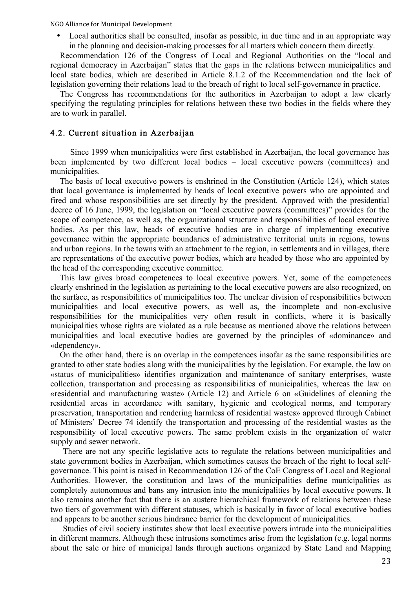• Local authorities shall be consulted, insofar as possible, in due time and in an appropriate way in the planning and decision-making processes for all matters which concern them directly.

Recommendation 126 of the Congress of Local and Regional Authorities on the "local and regional democracy in Azerbaijan" states that the gaps in the relations between municipalities and local state bodies, which are described in Article 8.1.2 of the Recommendation and the lack of legislation governing their relations lead to the breach of right to local self-governance in practice.

The Congress has recommendations for the authorities in Azerbaijan to adopt a law clearly specifying the regulating principles for relations between these two bodies in the fields where they are to work in parallel.

#### 4.2. Current situation in Azerbaijan

Since 1999 when municipalities were first established in Azerbaijan, the local governance has been implemented by two different local bodies – local executive powers (committees) and municipalities.

The basis of local executive powers is enshrined in the Constitution (Article 124), which states that local governance is implemented by heads of local executive powers who are appointed and fired and whose responsibilities are set directly by the president. Approved with the presidential decree of 16 June, 1999, the legislation on "local executive powers (committees)" provides for the scope of competence, as well as, the organizational structure and responsibilities of local executive bodies. As per this law, heads of executive bodies are in charge of implementing executive governance within the appropriate boundaries of administrative territorial units in regions, towns and urban regions. In the towns with an attachment to the region, in settlements and in villages, there are representations of the executive power bodies, which are headed by those who are appointed by the head of the corresponding executive committee.

This law gives broad competences to local executive powers. Yet, some of the competences clearly enshrined in the legislation as pertaining to the local executive powers are also recognized, on the surface, as responsibilities of municipalities too. The unclear division of responsibilities between municipalities and local executive powers, as well as, the incomplete and non-exclusive responsibilities for the municipalities very often result in conflicts, where it is basically municipalities whose rights are violated as a rule because as mentioned above the relations between municipalities and local executive bodies are governed by the principles of «dominance» and «dependency».

On the other hand, there is an overlap in the competences insofar as the same responsibilities are granted to other state bodies along with the municipalities by the legislation. For example, the law on «status of municipalities» identifies organization and maintenance of sanitary enterprises, waste collection, transportation and processing as responsibilities of municipalities, whereas the law on «residential and manufacturing waste» (Article 12) and Article 6 on «Guidelines of cleaning the residential areas in accordance with sanitary, hygienic and ecological norms, and temporary preservation, transportation and rendering harmless of residential wastes» approved through Cabinet of Ministers' Decree 74 identify the transportation and processing of the residential wastes as the responsibility of local executive powers. The same problem exists in the organization of water supply and sewer network.

There are not any specific legislative acts to regulate the relations between municipalities and state government bodies in Azerbaijan, which sometimes causes the breach of the right to local selfgovernance. This point is raised in Recommendation 126 of the CoE Congress of Local and Regional Authorities. However, the constitution and laws of the municipalities define municipalities as completely autonomous and bans any intrusion into the municipalities by local executive powers. It also remains another fact that there is an austere hierarchical framework of relations between these two tiers of government with different statuses, which is basically in favor of local executive bodies and appears to be another serious hindrance barrier for the development of municipalities.

Studies of civil society institutes show that local executive powers intrude into the municipalities in different manners. Although these intrusions sometimes arise from the legislation (e.g. legal norms about the sale or hire of municipal lands through auctions organized by State Land and Mapping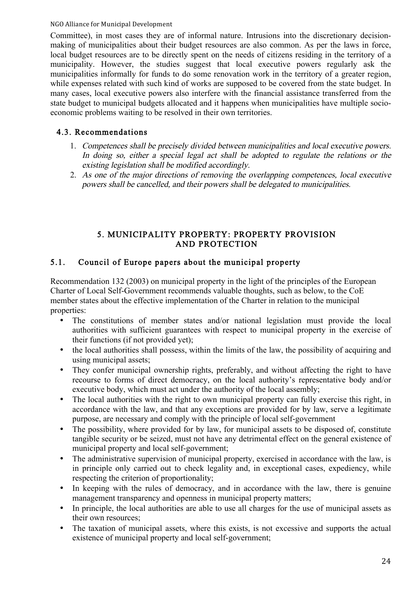Committee), in most cases they are of informal nature. Intrusions into the discretionary decisionmaking of municipalities about their budget resources are also common. As per the laws in force, local budget resources are to be directly spent on the needs of citizens residing in the territory of a municipality. However, the studies suggest that local executive powers regularly ask the municipalities informally for funds to do some renovation work in the territory of a greater region, while expenses related with such kind of works are supposed to be covered from the state budget. In many cases, local executive powers also interfere with the financial assistance transferred from the state budget to municipal budgets allocated and it happens when municipalities have multiple socioeconomic problems waiting to be resolved in their own territories.

# 4.3. Recommendations

- 1. Competences shall be precisely divided between municipalities and local executive powers. In doing so, either a special legal act shall be adopted to regulate the relations or the existing legislation shall be modified accordingly.
- 2. As one of the major directions of removing the overlapping competences, local executive powers shall be cancelled, and their powers shall be delegated to municipalities.

# 5. MUNICIPALITY PROPERTY: PROPERTY PROVISION AND PROTECTION

# 5.1. Council of Europe papers about the municipal property

Recommendation 132 (2003) on municipal property in the light of the principles of the European Charter of Local Self-Government recommends valuable thoughts, such as below, to the CoE member states about the effective implementation of the Charter in relation to the municipal properties:

- The constitutions of member states and/or national legislation must provide the local authorities with sufficient guarantees with respect to municipal property in the exercise of their functions (if not provided yet);
- the local authorities shall possess, within the limits of the law, the possibility of acquiring and using municipal assets;
- They confer municipal ownership rights, preferably, and without affecting the right to have recourse to forms of direct democracy, on the local authority's representative body and/or executive body, which must act under the authority of the local assembly;
- The local authorities with the right to own municipal property can fully exercise this right, in accordance with the law, and that any exceptions are provided for by law, serve a legitimate purpose, are necessary and comply with the principle of local self-government
- The possibility, where provided for by law, for municipal assets to be disposed of, constitute tangible security or be seized, must not have any detrimental effect on the general existence of municipal property and local self-government;
- The administrative supervision of municipal property, exercised in accordance with the law, is in principle only carried out to check legality and, in exceptional cases, expediency, while respecting the criterion of proportionality;
- In keeping with the rules of democracy, and in accordance with the law, there is genuine management transparency and openness in municipal property matters;
- In principle, the local authorities are able to use all charges for the use of municipal assets as their own resources;
- The taxation of municipal assets, where this exists, is not excessive and supports the actual existence of municipal property and local self-government;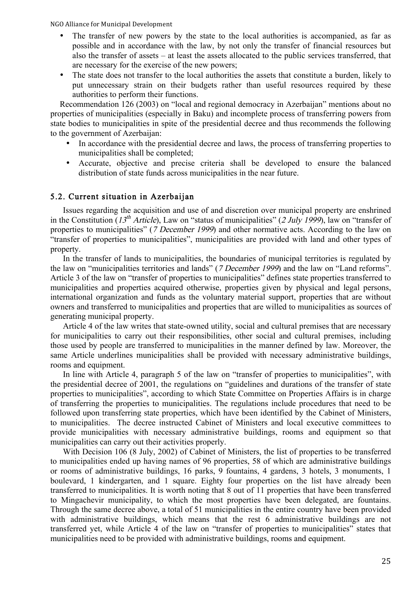- The transfer of new powers by the state to the local authorities is accompanied, as far as possible and in accordance with the law, by not only the transfer of financial resources but also the transfer of assets – at least the assets allocated to the public services transferred, that are necessary for the exercise of the new powers;
- The state does not transfer to the local authorities the assets that constitute a burden, likely to put unnecessary strain on their budgets rather than useful resources required by these authorities to perform their functions.

Recommendation 126 (2003) on "local and regional democracy in Azerbaijan" mentions about no properties of municipalities (especially in Baku) and incomplete process of transferring powers from state bodies to municipalities in spite of the presidential decree and thus recommends the following to the government of Azerbaijan:

- In accordance with the presidential decree and laws, the process of transferring properties to municipalities shall be completed;
- Accurate, objective and precise criteria shall be developed to ensure the balanced distribution of state funds across municipalities in the near future.

#### 5.2. Current situation in Azerbaijan

Issues regarding the acquisition and use of and discretion over municipal property are enshrined in the Constitution (13<sup>th</sup> Article), Law on "status of municipalities" (2 July 1999), law on "transfer of properties to municipalities" (7 December 1999) and other normative acts. According to the law on "transfer of properties to municipalities", municipalities are provided with land and other types of property.

In the transfer of lands to municipalities, the boundaries of municipal territories is regulated by the law on "municipalities territories and lands" (7 December 1999) and the law on "Land reforms". Article 3 of the law on "transfer of properties to municipalities" defines state properties transferred to municipalities and properties acquired otherwise, properties given by physical and legal persons, international organization and funds as the voluntary material support, properties that are without owners and transferred to municipalities and properties that are willed to municipalities as sources of generating municipal property.

Article 4 of the law writes that state-owned utility, social and cultural premises that are necessary for municipalities to carry out their responsibilities, other social and cultural premises, including those used by people are transferred to municipalities in the manner defined by law. Moreover, the same Article underlines municipalities shall be provided with necessary administrative buildings, rooms and equipment.

In line with Article 4, paragraph 5 of the law on "transfer of properties to municipalities", with the presidential decree of 2001, the regulations on "guidelines and durations of the transfer of state properties to municipalities", according to which State Committee on Properties Affairs is in charge of transferring the properties to municipalities. The regulations include procedures that need to be followed upon transferring state properties, which have been identified by the Cabinet of Ministers, to municipalities. The decree instructed Cabinet of Ministers and local executive committees to provide municipalities with necessary administrative buildings, rooms and equipment so that municipalities can carry out their activities properly.

With Decision 106 (8 July, 2002) of Cabinet of Ministers, the list of properties to be transferred to municipalities ended up having names of 96 properties, 58 of which are administrative buildings or rooms of administrative buildings, 16 parks, 9 fountains, 4 gardens, 3 hotels, 3 monuments, 1 boulevard, 1 kindergarten, and 1 square. Eighty four properties on the list have already been transferred to municipalities. It is worth noting that 8 out of 11 properties that have been transferred to Mingachevir municipality, to which the most properties have been delegated, are fountains. Through the same decree above, a total of 51 municipalities in the entire country have been provided with administrative buildings, which means that the rest 6 administrative buildings are not transferred yet, while Article 4 of the law on "transfer of properties to municipalities" states that municipalities need to be provided with administrative buildings, rooms and equipment.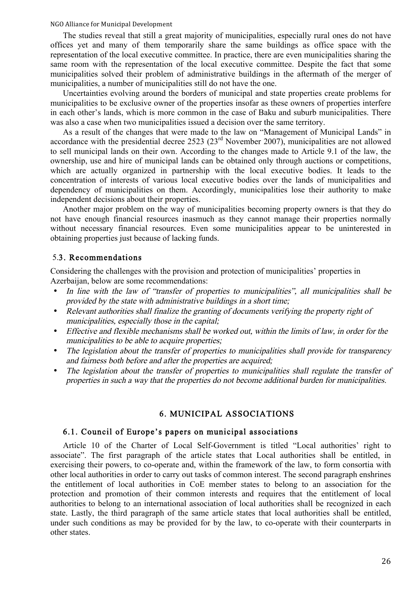The studies reveal that still a great majority of municipalities, especially rural ones do not have offices yet and many of them temporarily share the same buildings as office space with the representation of the local executive committee. In practice, there are even municipalities sharing the same room with the representation of the local executive committee. Despite the fact that some municipalities solved their problem of administrative buildings in the aftermath of the merger of municipalities, a number of municipalities still do not have the one.

Uncertainties evolving around the borders of municipal and state properties create problems for municipalities to be exclusive owner of the properties insofar as these owners of properties interfere in each other's lands, which is more common in the case of Baku and suburb municipalities. There was also a case when two municipalities issued a decision over the same territory.

As a result of the changes that were made to the law on "Management of Municipal Lands" in accordance with the presidential decree 2523 (23<sup>rd</sup> November 2007), municipalities are not allowed to sell municipal lands on their own. According to the changes made to Article 9.1 of the law, the ownership, use and hire of municipal lands can be obtained only through auctions or competitions, which are actually organized in partnership with the local executive bodies. It leads to the concentration of interests of various local executive bodies over the lands of municipalities and dependency of municipalities on them. Accordingly, municipalities lose their authority to make independent decisions about their properties.

Another major problem on the way of municipalities becoming property owners is that they do not have enough financial resources inasmuch as they cannot manage their properties normally without necessary financial resources. Even some municipalities appear to be uninterested in obtaining properties just because of lacking funds.

#### 5.3. Recommendations

Considering the challenges with the provision and protection of municipalities' properties in Azerbaijan, below are some recommendations:

- In line with the law of "transfer of properties to municipalities", all municipalities shall be provided by the state with administrative buildings in a short time;
- Relevant authorities shall finalize the granting of documents verifying the property right of municipalities, especially those in the capital;
- Effective and flexible mechanisms shall be worked out, within the limits of law, in order for the municipalities to be able to acquire properties;
- The legislation about the transfer of properties to municipalities shall provide for transparency and fairness both before and after the properties are acquired;
- The legislation about the transfer of properties to municipalities shall regulate the transfer of properties in such a way that the properties do not become additional burden for municipalities.

#### 6. MUNICIPAL ASSOCIATIONS

#### 6.1. Council of Europe's papers on municipal associations

Article 10 of the Charter of Local Self-Government is titled "Local authorities' right to associate". The first paragraph of the article states that Local authorities shall be entitled, in exercising their powers, to co-operate and, within the framework of the law, to form consortia with other local authorities in order to carry out tasks of common interest. The second paragraph enshrines the entitlement of local authorities in CoE member states to belong to an association for the protection and promotion of their common interests and requires that the entitlement of local authorities to belong to an international association of local authorities shall be recognized in each state. Lastly, the third paragraph of the same article states that local authorities shall be entitled, under such conditions as may be provided for by the law, to co-operate with their counterparts in other states.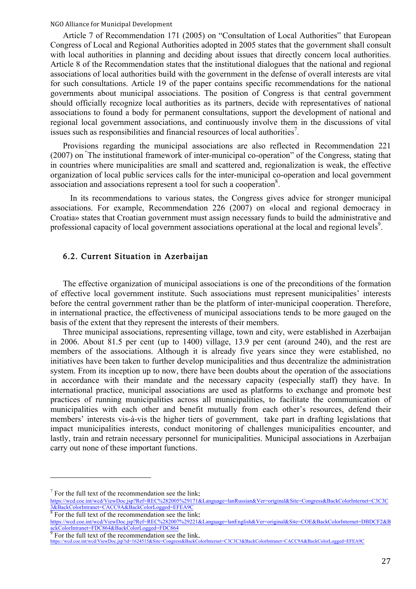Article 7 of Recommendation 171 (2005) on "Consultation of Local Authorities" that European Congress of Local and Regional Authorities adopted in 2005 states that the government shall consult with local authorities in planning and deciding about issues that directly concern local authorities. Article 8 of the Recommendation states that the institutional dialogues that the national and regional associations of local authorities build with the government in the defense of overall interests are vital for such consultations. Article 19 of the paper contains specific recommendations for the national governments about municipal associations. The position of Congress is that central government should officially recognize local authorities as its partners, decide with representatives of national associations to found a body for permanent consultations, support the development of national and regional local government associations, and continuously involve them in the discussions of vital issues such as responsibilities and financial resources of local authorities<sup>7</sup>.

Provisions regarding the municipal associations are also reflected in Recommendation 221 (2007) on " The institutional framework of inter-municipal co-operation" of the Congress, stating that in countries where municipalities are small and scattered and, regionalization is weak, the effective organization of local public services calls for the inter-municipal co-operation and local government association and associations represent a tool for such a cooperation<sup>8</sup>.

In its recommendations to various states, the Congress gives advice for stronger municipal associations. For example, Recommendation 226 (2007) on «local and regional democracy in Croatia» states that Croatian government must assign necessary funds to build the administrative and professional capacity of local government associations operational at the local and regional levels<sup>9</sup>.

### 6.2. Current Situation in Azerbaijan

The effective organization of municipal associations is one of the preconditions of the formation of effective local government institute. Such associations must represent municipalities' interests before the central government rather than be the platform of inter-municipal cooperation. Therefore, in international practice, the effectiveness of municipal associations tends to be more gauged on the basis of the extent that they represent the interests of their members.

Three municipal associations, representing village, town and city, were established in Azerbaijan in 2006. About 81.5 per cent (up to 1400) village, 13.9 per cent (around 240), and the rest are members of the associations. Although it is already five years since they were established, no initiatives have been taken to further develop municipalities and thus decentralize the administration system. From its inception up to now, there have been doubts about the operation of the associations in accordance with their mandate and the necessary capacity (especially staff) they have. In international practice, municipal associations are used as platforms to exchange and promote best practices of running municipalities across all municipalities, to facilitate the communication of municipalities with each other and benefit mutually from each other's resources, defend their members' interests vis-à-vis the higher tiers of government, take part in drafting legislations that impact municipalities interests, conduct monitoring of challenges municipalities encounter, and lastly, train and retrain necessary personnel for municipalities. Municipal associations in Azerbaijan carry out none of these important functions.

 $\overline{a}$ 

<sup>&</sup>lt;sup>7</sup> For the full text of the recommendation see the link:<br>https://wcd.coe.int/wcd/ViewDoc.jsp?Ref=REC%282005%29171&Language=lanRussian&Ver=original&Site=Congress&BackColorInternet=C3C3C  $\frac{3\&\text{BackColorIntranet} = \text{CACC9A} \&\text{BackColorLogged} = \text{EFEA9C}}{8}$  For the full text of the recommendation see the link:

<sup>8</sup> For the full text of the recommendation see the link: https://wcd.coe.int/wcd/ViewDoc.jsp?Ref=REC%282007%29221&Language=lanEnglish&Ver=original&Site=COE&BackColorInternet=DBDCF2&B ackColorIntranet=FDC864&BackColorLogged=FDC864<br>
9 Ecs the C.H.

For the full text of the recommendation see the link.<br>ttps://wcd.coe.int/wcd/ViewDoc.jsp?id=1624515&Site=Congress&BackColorInternet=C3C3C3&BackColorIntranet=CACC9A&BackColorLogged=EFEA9C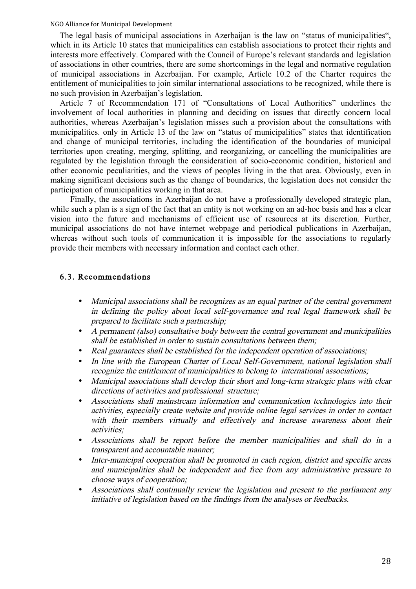The legal basis of municipal associations in Azerbaijan is the law on "status of municipalities", which in its Article 10 states that municipalities can establish associations to protect their rights and interests more effectively. Compared with the Council of Europe's relevant standards and legislation of associations in other countries, there are some shortcomings in the legal and normative regulation of municipal associations in Azerbaijan. For example, Article 10.2 of the Charter requires the entitlement of municipalities to join similar international associations to be recognized, while there is no such provision in Azerbaijan's legislation.

Article 7 of Recommendation 171 of "Consultations of Local Authorities" underlines the involvement of local authorities in planning and deciding on issues that directly concern local authorities, whereas Azerbaijan's legislation misses such a provision about the consultations with municipalities. only in Article 13 of the law on "status of municipalities" states that identification and change of municipal territories, including the identification of the boundaries of municipal territories upon creating, merging, splitting, and reorganizing, or cancelling the municipalities are regulated by the legislation through the consideration of socio-economic condition, historical and other economic peculiarities, and the views of peoples living in the that area. Obviously, even in making significant decisions such as the change of boundaries, the legislation does not consider the participation of municipalities working in that area.

Finally, the associations in Azerbaijan do not have a professionally developed strategic plan, while such a plan is a sign of the fact that an entity is not working on an ad-hoc basis and has a clear vision into the future and mechanisms of efficient use of resources at its discretion. Further, municipal associations do not have internet webpage and periodical publications in Azerbaijan, whereas without such tools of communication it is impossible for the associations to regularly provide their members with necessary information and contact each other.

#### 6.3. Recommendations

- Municipal associations shall be recognizes as an equal partner of the central government in defining the policy about local self-governance and real legal framework shall be prepared to facilitate such a partnership;
- A permanent (also) consultative body between the central government and municipalities shall be established in order to sustain consultations between them;
- Real guarantees shall be established for the independent operation of associations;
- In line with the European Charter of Local Self-Government, national legislation shall recognize the entitlement of municipalities to belong to international associations;
- Municipal associations shall develop their short and long-term strategic plans with clear directions of activities and professional structure;
- Associations shall mainstream information and communication technologies into their activities, especially create website and provide online legal services in order to contact with their members virtually and effectively and increase awareness about their activities;
- Associations shall be report before the member municipalities and shall do in a transparent and accountable manner;
- Inter-municipal cooperation shall be promoted in each region, district and specific areas and municipalities shall be independent and free from any administrative pressure to choose ways of cooperation;
- Associations shall continually review the legislation and present to the parliament any initiative of legislation based on the findings from the analyses or feedbacks.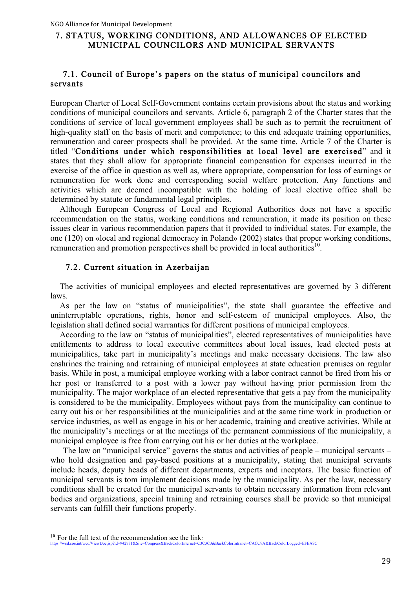### 7. STATUS, WORKING CONDITIONS, AND ALLOWANCES OF ELECTED MUNICIPAL COUNCILORS AND MUNICIPAL SERVANTS

### 7.1. Council of Europe's papers on the status of municipal councilors and servants

European Charter of Local Self-Government contains certain provisions about the status and working conditions of municipal councilors and servants. Article 6, paragraph 2 of the Charter states that the conditions of service of local government employees shall be such as to permit the recruitment of high-quality staff on the basis of merit and competence; to this end adequate training opportunities, remuneration and career prospects shall be provided. At the same time, Article 7 of the Charter is titled "Conditions under which responsibilities at local level are exercised" and it states that they shall allow for appropriate financial compensation for expenses incurred in the exercise of the office in question as well as, where appropriate, compensation for loss of earnings or remuneration for work done and corresponding social welfare protection. Any functions and activities which are deemed incompatible with the holding of local elective office shall be determined by statute or fundamental legal principles.

Although European Congress of Local and Regional Authorities does not have a specific recommendation on the status, working conditions and remuneration, it made its position on these issues clear in various recommendation papers that it provided to individual states. For example, the one (120) on «local and regional democracy in Poland» (2002) states that proper working conditions, remuneration and promotion perspectives shall be provided in local authorities<sup>10</sup>.

#### 7.2. Current situation in Azerbaijan

The activities of municipal employees and elected representatives are governed by 3 different laws.

As per the law on "status of municipalities", the state shall guarantee the effective and uninterruptable operations, rights, honor and self-esteem of municipal employees. Also, the legislation shall defined social warranties for different positions of municipal employees.

According to the law on "status of municipalities", elected representatives of municipalities have entitlements to address to local executive committees about local issues, lead elected posts at municipalities, take part in municipality's meetings and make necessary decisions. The law also enshrines the training and retraining of municipal employees at state education premises on regular basis. While in post, a municipal employee working with a labor contract cannot be fired from his or her post or transferred to a post with a lower pay without having prior permission from the municipality. The major workplace of an elected representative that gets a pay from the municipality is considered to be the municipality. Employees without pays from the municipality can continue to carry out his or her responsibilities at the municipalities and at the same time work in production or service industries, as well as engage in his or her academic, training and creative activities. While at the municipality's meetings or at the meetings of the permanent commissions of the municipality, a municipal employee is free from carrying out his or her duties at the workplace.

The law on "municipal service" governs the status and activities of people – municipal servants – who hold designation and pay-based positions at a municipality, stating that municipal servants include heads, deputy heads of different departments, experts and inceptors. The basic function of municipal servants is tom implement decisions made by the municipality. As per the law, necessary conditions shall be created for the municipal servants to obtain necessary information from relevant bodies and organizations, special training and retraining courses shall be provide so that municipal servants can fulfill their functions properly.

<sup>&</sup>lt;sup>10</sup> For the full text of the recommendation see the link:<br>https://wcd.coe.int/wcd/ViewDoc.jsp?id=942731&Site=Congress&BackColorInternet=C3C3C3&BackColorIntranet=CACC9A&BackColorLogged=EFEA9C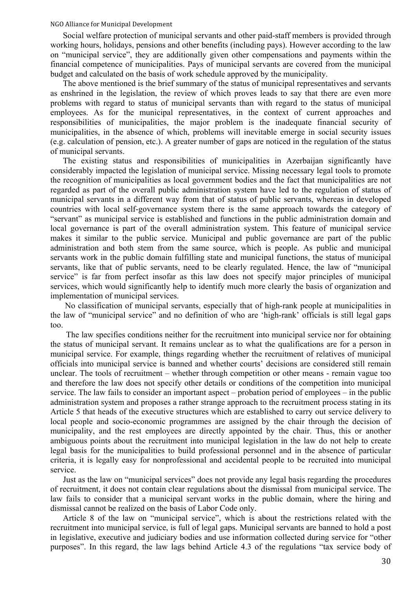Social welfare protection of municipal servants and other paid-staff members is provided through working hours, holidays, pensions and other benefits (including pays). However according to the law on "municipal service", they are additionally given other compensations and payments within the financial competence of municipalities. Pays of municipal servants are covered from the municipal budget and calculated on the basis of work schedule approved by the municipality.

The above mentioned is the brief summary of the status of municipal representatives and servants as enshrined in the legislation, the review of which proves leads to say that there are even more problems with regard to status of municipal servants than with regard to the status of municipal employees. As for the municipal representatives, in the context of current approaches and responsibilities of municipalities, the major problem is the inadequate financial security of municipalities, in the absence of which, problems will inevitable emerge in social security issues (e.g. calculation of pension, etc.). A greater number of gaps are noticed in the regulation of the status of municipal servants.

The existing status and responsibilities of municipalities in Azerbaijan significantly have considerably impacted the legislation of municipal service. Missing necessary legal tools to promote the recognition of municipalities as local government bodies and the fact that municipalities are not regarded as part of the overall public administration system have led to the regulation of status of municipal servants in a different way from that of status of public servants, whereas in developed countries with local self-governance system there is the same approach towards the category of "servant" as municipal service is established and functions in the public administration domain and local governance is part of the overall administration system. This feature of municipal service makes it similar to the public service. Municipal and public governance are part of the public administration and both stem from the same source, which is people. As public and municipal servants work in the public domain fulfilling state and municipal functions, the status of municipal servants, like that of public servants, need to be clearly regulated. Hence, the law of "municipal service" is far from perfect insofar as this law does not specify major principles of municipal services, which would significantly help to identify much more clearly the basis of organization and implementation of municipal services.

No classification of municipal servants, especially that of high-rank people at municipalities in the law of "municipal service" and no definition of who are 'high-rank' officials is still legal gaps too.

The law specifies conditions neither for the recruitment into municipal service nor for obtaining the status of municipal servant. It remains unclear as to what the qualifications are for a person in municipal service. For example, things regarding whether the recruitment of relatives of municipal officials into municipal service is banned and whether courts' decisions are considered still remain unclear. The tools of recruitment – whether through competition or other means - remain vague too and therefore the law does not specify other details or conditions of the competition into municipal service. The law fails to consider an important aspect – probation period of employees – in the public administration system and proposes a rather strange approach to the recruitment process stating in its Article 5 that heads of the executive structures which are established to carry out service delivery to local people and socio-economic programmes are assigned by the chair through the decision of municipality, and the rest employees are directly appointed by the chair. Thus, this or another ambiguous points about the recruitment into municipal legislation in the law do not help to create legal basis for the municipalities to build professional personnel and in the absence of particular criteria, it is legally easy for nonprofessional and accidental people to be recruited into municipal service.

Just as the law on "municipal services" does not provide any legal basis regarding the procedures of recruitment, it does not contain clear regulations about the dismissal from municipal service. The law fails to consider that a municipal servant works in the public domain, where the hiring and dismissal cannot be realized on the basis of Labor Code only.

Article 8 of the law on "municipal service", which is about the restrictions related with the recruitment into municipal service, is full of legal gaps. Municipal servants are banned to hold a post in legislative, executive and judiciary bodies and use information collected during service for "other purposes". In this regard, the law lags behind Article 4.3 of the regulations "tax service body of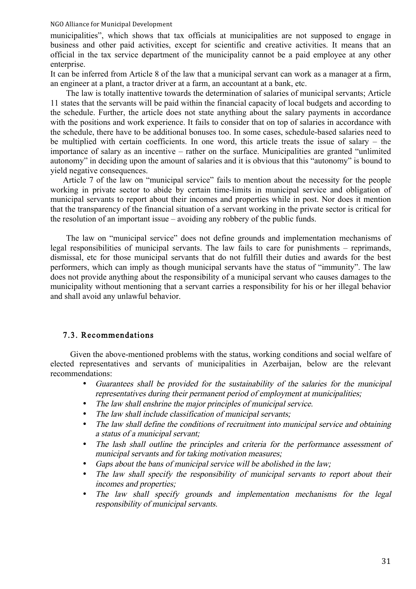municipalities", which shows that tax officials at municipalities are not supposed to engage in business and other paid activities, except for scientific and creative activities. It means that an official in the tax service department of the municipality cannot be a paid employee at any other enterprise.

It can be inferred from Article 8 of the law that a municipal servant can work as a manager at a firm, an engineer at a plant, a tractor driver at a farm, an accountant at a bank, etc.

The law is totally inattentive towards the determination of salaries of municipal servants; Article 11 states that the servants will be paid within the financial capacity of local budgets and according to the schedule. Further, the article does not state anything about the salary payments in accordance with the positions and work experience. It fails to consider that on top of salaries in accordance with the schedule, there have to be additional bonuses too. In some cases, schedule-based salaries need to be multiplied with certain coefficients. In one word, this article treats the issue of salary – the importance of salary as an incentive – rather on the surface. Municipalities are granted "unlimited autonomy" in deciding upon the amount of salaries and it is obvious that this "autonomy" is bound to yield negative consequences.

Article 7 of the law on "municipal service" fails to mention about the necessity for the people working in private sector to abide by certain time-limits in municipal service and obligation of municipal servants to report about their incomes and properties while in post. Nor does it mention that the transparency of the financial situation of a servant working in the private sector is critical for the resolution of an important issue – avoiding any robbery of the public funds.

The law on "municipal service" does not define grounds and implementation mechanisms of legal responsibilities of municipal servants. The law fails to care for punishments – reprimands, dismissal, etc for those municipal servants that do not fulfill their duties and awards for the best performers, which can imply as though municipal servants have the status of "immunity". The law does not provide anything about the responsibility of a municipal servant who causes damages to the municipality without mentioning that a servant carries a responsibility for his or her illegal behavior and shall avoid any unlawful behavior.

#### 7.3. Recommendations

Given the above-mentioned problems with the status, working conditions and social welfare of elected representatives and servants of municipalities in Azerbaijan, below are the relevant recommendations:

- Guarantees shall be provided for the sustainability of the salaries for the municipal representatives during their permanent period of employment at municipalities;
- The law shall enshrine the major principles of municipal service.
- The law shall include classification of municipal servants;
- The law shall define the conditions of recruitment into municipal service and obtaining a status of a municipal servant;
- The lash shall outline the principles and criteria for the performance assessment of municipal servants and for taking motivation measures;
- Gaps about the bans of municipal service will be abolished in the law;
- The law shall specify the responsibility of municipal servants to report about their incomes and properties;
- The law shall specify grounds and implementation mechanisms for the legal responsibility of municipal servants.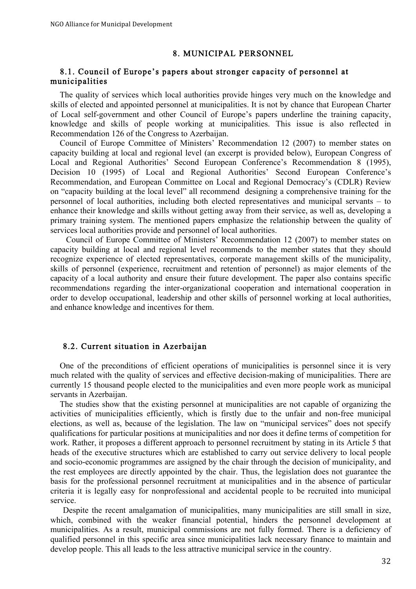#### 8. MUNICIPAL PERSONNEL

### 8.1. Council of Europe's papers about stronger capacity of personnel at municipalities

The quality of services which local authorities provide hinges very much on the knowledge and skills of elected and appointed personnel at municipalities. It is not by chance that European Charter of Local self-government and other Council of Europe's papers underline the training capacity, knowledge and skills of people working at municipalities. This issue is also reflected in Recommendation 126 of the Congress to Azerbaijan.

Council of Europe Committee of Ministers' Recommendation 12 (2007) to member states on capacity building at local and regional level (an excerpt is provided below), European Congress of Local and Regional Authorities' Second European Conference's Recommendation 8 (1995), Decision 10 (1995) of Local and Regional Authorities' Second European Conference's Recommendation, and European Committee on Local and Regional Democracy's (CDLR) Review on "capacity building at the local level" all recommend designing a comprehensive training for the personnel of local authorities, including both elected representatives and municipal servants – to enhance their knowledge and skills without getting away from their service, as well as, developing a primary training system. The mentioned papers emphasize the relationship between the quality of services local authorities provide and personnel of local authorities.

Council of Europe Committee of Ministers' Recommendation 12 (2007) to member states on capacity building at local and regional level recommends to the member states that they should recognize experience of elected representatives, corporate management skills of the municipality, skills of personnel (experience, recruitment and retention of personnel) as major elements of the capacity of a local authority and ensure their future development. The paper also contains specific recommendations regarding the inter-organizational cooperation and international cooperation in order to develop occupational, leadership and other skills of personnel working at local authorities, and enhance knowledge and incentives for them.

#### 8.2. Current situation in Azerbaijan

One of the preconditions of efficient operations of municipalities is personnel since it is very much related with the quality of services and effective decision-making of municipalities. There are currently 15 thousand people elected to the municipalities and even more people work as municipal servants in Azerbaijan.

The studies show that the existing personnel at municipalities are not capable of organizing the activities of municipalities efficiently, which is firstly due to the unfair and non-free municipal elections, as well as, because of the legislation. The law on "municipal services" does not specify qualifications for particular positions at municipalities and nor does it define terms of competition for work. Rather, it proposes a different approach to personnel recruitment by stating in its Article 5 that heads of the executive structures which are established to carry out service delivery to local people and socio-economic programmes are assigned by the chair through the decision of municipality, and the rest employees are directly appointed by the chair. Thus, the legislation does not guarantee the basis for the professional personnel recruitment at municipalities and in the absence of particular criteria it is legally easy for nonprofessional and accidental people to be recruited into municipal service.

Despite the recent amalgamation of municipalities, many municipalities are still small in size, which, combined with the weaker financial potential, hinders the personnel development at municipalities. As a result, municipal commissions are not fully formed. There is a deficiency of qualified personnel in this specific area since municipalities lack necessary finance to maintain and develop people. This all leads to the less attractive municipal service in the country.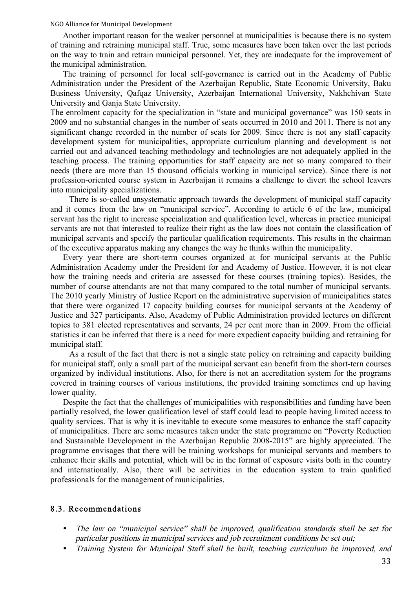Another important reason for the weaker personnel at municipalities is because there is no system of training and retraining municipal staff. True, some measures have been taken over the last periods on the way to train and retrain municipal personnel. Yet, they are inadequate for the improvement of the municipal administration.

The training of personnel for local self-governance is carried out in the Academy of Public Administration under the President of the Azerbaijan Republic, State Economic University, Baku Business University, Qafqaz University, Azerbaijan International University, Nakhchivan State University and Ganja State University.

The enrolment capacity for the specialization in "state and municipal governance" was 150 seats in 2009 and no substantial changes in the number of seats occurred in 2010 and 2011. There is not any significant change recorded in the number of seats for 2009. Since there is not any staff capacity development system for municipalities, appropriate curriculum planning and development is not carried out and advanced teaching methodology and technologies are not adequately applied in the teaching process. The training opportunities for staff capacity are not so many compared to their needs (there are more than 15 thousand officials working in municipal service). Since there is not profession-oriented course system in Azerbaijan it remains a challenge to divert the school leavers into municipality specializations.

There is so-called unsystematic approach towards the development of municipal staff capacity and it comes from the law on "municipal service". According to article 6 of the law, municipal servant has the right to increase specialization and qualification level, whereas in practice municipal servants are not that interested to realize their right as the law does not contain the classification of municipal servants and specify the particular qualification requirements. This results in the chairman of the executive apparatus making any changes the way he thinks within the municipality.

Every year there are short-term courses organized at for municipal servants at the Public Administration Academy under the President for and Academy of Justice. However, it is not clear how the training needs and criteria are assessed for these courses (training topics). Besides, the number of course attendants are not that many compared to the total number of municipal servants. The 2010 yearly Ministry of Justice Report on the administrative supervision of municipalities states that there were organized 17 capacity building courses for municipal servants at the Academy of Justice and 327 participants. Also, Academy of Public Administration provided lectures on different topics to 381 elected representatives and servants, 24 per cent more than in 2009. From the official statistics it can be inferred that there is a need for more expedient capacity building and retraining for municipal staff.

As a result of the fact that there is not a single state policy on retraining and capacity building for municipal staff, only a small part of the municipal servant can benefit from the short-tern courses organized by individual institutions. Also, for there is not an accreditation system for the programs covered in training courses of various institutions, the provided training sometimes end up having lower quality.

Despite the fact that the challenges of municipalities with responsibilities and funding have been partially resolved, the lower qualification level of staff could lead to people having limited access to quality services. That is why it is inevitable to execute some measures to enhance the staff capacity of municipalities. There are some measures taken under the state programme on "Poverty Reduction and Sustainable Development in the Azerbaijan Republic 2008-2015" are highly appreciated. The programme envisages that there will be training workshops for municipal servants and members to enhance their skills and potential, which will be in the format of exposure visits both in the country and internationally. Also, there will be activities in the education system to train qualified professionals for the management of municipalities.

#### 8.3. Recommendations

- The law on "municipal service" shall be improved, qualification standards shall be set for particular positions in municipal services and job recruitment conditions be set out;
- Training System for Municipal Staff shall be built, teaching curriculum be improved, and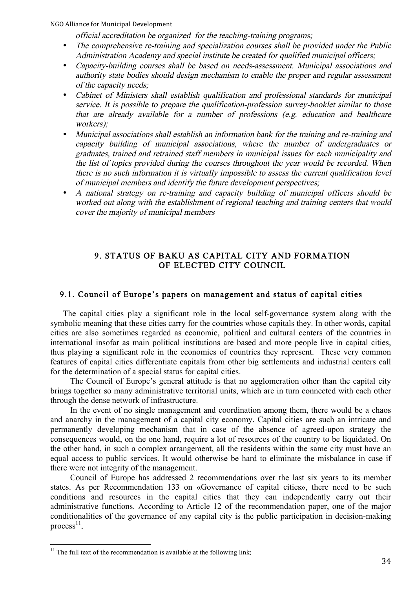official accreditation be organized for the teaching-training programs;

- The comprehensive re-training and specialization courses shall be provided under the Public Administration Academy and special institute be created for qualified municipal officers;
- Capacity-building courses shall be based on needs-assessment. Municipal associations and authority state bodies should design mechanism to enable the proper and regular assessment of the capacity needs;
- Cabinet of Ministers shall establish qualification and professional standards for municipal service. It is possible to prepare the qualification-profession survey-booklet similar to those that are already available for a number of professions (e.g. education and healthcare workers);
- Municipal associations shall establish an information bank for the training and re-training and capacity building of municipal associations, where the number of undergraduates or graduates, trained and retrained staff members in municipal issues for each municipality and the list of topics provided during the courses throughout the year would be recorded. When there is no such information it is virtually impossible to assess the current qualification level of municipal members and identify the future development perspectives;
- A national strategy on re-training and capacity building of municipal officers should be worked out along with the establishment of regional teaching and training centers that would cover the majority of municipal members

### 9. STATUS OF BAKU AS CAPITAL CITY AND FORMATION OF ELECTED CITY COUNCIL

### 9.1. Council of Europe's papers on management and status of capital cities

The capital cities play a significant role in the local self-governance system along with the symbolic meaning that these cities carry for the countries whose capitals they. In other words, capital cities are also sometimes regarded as economic, political and cultural centers of the countries in international insofar as main political institutions are based and more people live in capital cities, thus playing a significant role in the economies of countries they represent. These very common features of capital cities differentiate capitals from other big settlements and industrial centers call for the determination of a special status for capital cities.

The Council of Europe's general attitude is that no agglomeration other than the capital city brings together so many administrative territorial units, which are in turn connected with each other through the dense network of infrastructure.

In the event of no single management and coordination among them, there would be a chaos and anarchy in the management of a capital city economy. Capital cities are such an intricate and permanently developing mechanism that in case of the absence of agreed-upon strategy the consequences would, on the one hand, require a lot of resources of the country to be liquidated. On the other hand, in such a complex arrangement, all the residents within the same city must have an equal access to public services. It would otherwise be hard to eliminate the misbalance in case if there were not integrity of the management.

Council of Europe has addressed 2 recommendations over the last six years to its member states. As per Recommendation 133 on «Governance of capital cities», there need to be such conditions and resources in the capital cities that they can independently carry out their administrative functions. According to Article 12 of the recommendation paper, one of the major conditionalities of the governance of any capital city is the public participation in decision-making process $^{11}$ .

 $11$  The full text of the recommendation is available at the following link: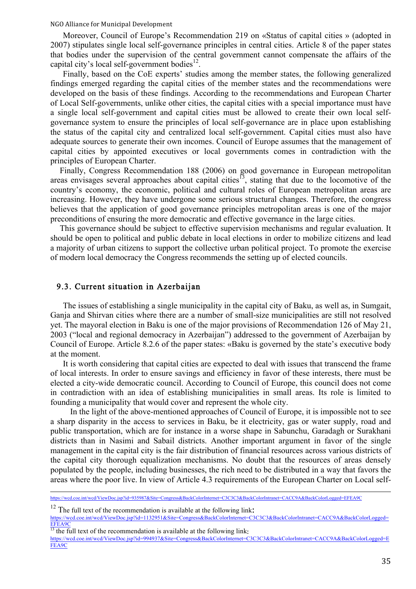Moreover, Council of Europe's Recommendation 219 on «Status of capital cities » (adopted in 2007) stipulates single local self-governance principles in central cities. Article 8 of the paper states that bodies under the supervision of the central government cannot compensate the affairs of the capital city's local self-government bodies $^{12}$ .

Finally, based on the CoE experts' studies among the member states, the following generalized findings emerged regarding the capital cities of the member states and the recommendations were developed on the basis of these findings. According to the recommendations and European Charter of Local Self-governments, unlike other cities, the capital cities with a special importance must have a single local self-government and capital cities must be allowed to create their own local selfgovernance system to ensure the principles of local self-governance are in place upon establishing the status of the capital city and centralized local self-government. Capital cities must also have adequate sources to generate their own incomes. Council of Europe assumes that the management of capital cities by appointed executives or local governments comes in contradiction with the principles of European Charter.

Finally, Congress Recommendation 188 (2006) on good governance in European metropolitan areas envisages several approaches about capital cities<sup>13</sup>, stating that due to the locomotive of the country's economy, the economic, political and cultural roles of European metropolitan areas are increasing. However, they have undergone some serious structural changes. Therefore, the congress believes that the application of good governance principles metropolitan areas is one of the major preconditions of ensuring the more democratic and effective governance in the large cities.

This governance should be subject to effective supervision mechanisms and regular evaluation. It should be open to political and public debate in local elections in order to mobilize citizens and lead a majority of urban citizens to support the collective urban political project. To promote the exercise of modern local democracy the Congress recommends the setting up of elected councils.

#### 9.3. Current situation in Azerbaijan

The issues of establishing a single municipality in the capital city of Baku, as well as, in Sumgait, Ganja and Shirvan cities where there are a number of small-size municipalities are still not resolved yet. The mayoral election in Baku is one of the major provisions of Recommendation 126 of May 21, 2003 ("local and regional democracy in Azerbaijan") addressed to the government of Azerbaijan by Council of Europe. Article 8.2.6 of the paper states: «Baku is governed by the state's executive body at the moment.

It is worth considering that capital cities are expected to deal with issues that transcend the frame of local interests. In order to ensure savings and efficiency in favor of these interests, there must be elected a city-wide democratic council. According to Council of Europe, this council does not come in contradiction with an idea of establishing municipalities in small areas. Its role is limited to founding a municipality that would cover and represent the whole city.

In the light of the above-mentioned approaches of Council of Europe, it is impossible not to see a sharp disparity in the access to services in Baku, be it electricity, gas or water supply, road and public transportation, which are for instance in a worse shape in Sabunchu, Garadagh or Surakhani districts than in Nasimi and Sabail districts. Another important argument in favor of the single management in the capital city is the fair distribution of financial resources across various districts of the capital city thorough equalization mechanisms. No doubt that the resources of areas densely populated by the people, including businesses, the rich need to be distributed in a way that favors the areas where the poor live. In view of Article 4.3 requirements of the European Charter on Local self-

<sup>12</sup> The full text of the recommendation is available at the following link:<br>https://wcd.coe.int/wcd/ViewDoc.jsp?id=1132951&Site=Congress&BackColorInternet=C3C3C3&BackColorIntranet=CACC9A&BackColorLogged= EFEA9C

 $\frac{13}{13}$  the full text of the recommendation is available at the following link:

https://wcd.coe.int/wcd/ViewDoc.jsp?id=935987&Site=Congress&BackColorInternet=C3C3C3&BackColorIntranet=CACC9A&BackColorLogged=EFEA9C

https://wcd.coe.int/wcd/ViewDoc.jsp?id=994937&Site=Congress&BackColorInternet=C3C3C3&BackColorIntranet=CACC9A&BackColorLogged=E FEA9C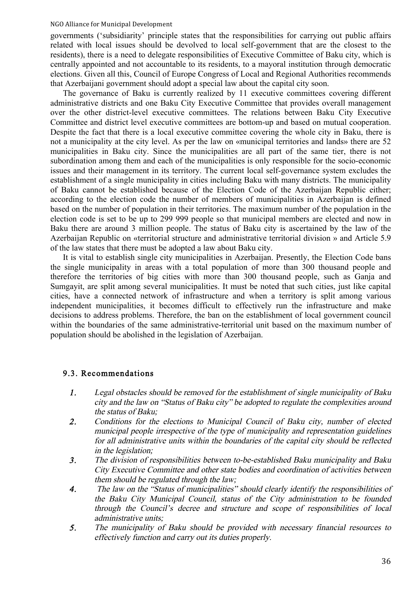governments ('subsidiarity' principle states that the responsibilities for carrying out public affairs related with local issues should be devolved to local self-government that are the closest to the residents), there is a need to delegate responsibilities of Executive Committee of Baku city, which is centrally appointed and not accountable to its residents, to a mayoral institution through democratic elections. Given all this, Council of Europe Congress of Local and Regional Authorities recommends that Azerbaijani government should adopt a special law about the capital city soon.

The governance of Baku is currently realized by 11 executive committees covering different administrative districts and one Baku City Executive Committee that provides overall management over the other district-level executive committees. The relations between Baku City Executive Committee and district level executive committees are bottom-up and based on mutual cooperation. Despite the fact that there is a local executive committee covering the whole city in Baku, there is not a municipality at the city level. As per the law on «municipal territories and lands» there are 52 municipalities in Baku city. Since the municipalities are all part of the same tier, there is not subordination among them and each of the municipalities is only responsible for the socio-economic issues and their management in its territory. The current local self-governance system excludes the establishment of a single municipality in cities including Baku with many districts. The municipality of Baku cannot be established because of the Election Code of the Azerbaijan Republic either; according to the election code the number of members of municipalities in Azerbaijan is defined based on the number of population in their territories. The maximum number of the population in the election code is set to be up to 299 999 people so that municipal members are elected and now in Baku there are around 3 million people. The status of Baku city is ascertained by the law of the Azerbaijan Republic on «territorial structure and administrative territorial division » and Article 5.9 of the law states that there must be adopted a law about Baku city.

It is vital to establish single city municipalities in Azerbaijan. Presently, the Election Code bans the single municipality in areas with a total population of more than 300 thousand people and therefore the territories of big cities with more than 300 thousand people, such as Ganja and Sumgayit, are split among several municipalities. It must be noted that such cities, just like capital cities, have a connected network of infrastructure and when a territory is split among various independent municipalities, it becomes difficult to effectively run the infrastructure and make decisions to address problems. Therefore, the ban on the establishment of local government council within the boundaries of the same administrative-territorial unit based on the maximum number of population should be abolished in the legislation of Azerbaijan.

### 9.3. Recommendations

- 1. Legal obstacles should be removed for the establishment of single municipality of Baku city and the law on "Status of Baku city" be adopted to regulate the complexities around the status of Baku;
- 2. Conditions for the elections to Municipal Council of Baku city, number of elected municipal people irrespective of the type of municipality and representation guidelines for all administrative units within the boundaries of the capital city should be reflected in the legislation;
- 3. The division of responsibilities between to-be-established Baku municipality and Baku City Executive Committee and other state bodies and coordination of activities between them should be regulated through the law;
- 4. The law on the "Status of municipalities" should clearly identify the responsibilities of the Baku City Municipal Council, status of the City administration to be founded through the Council's decree and structure and scope of responsibilities of local administrative units;
- 5. The municipality of Baku should be provided with necessary financial resources to effectively function and carry out its duties properly.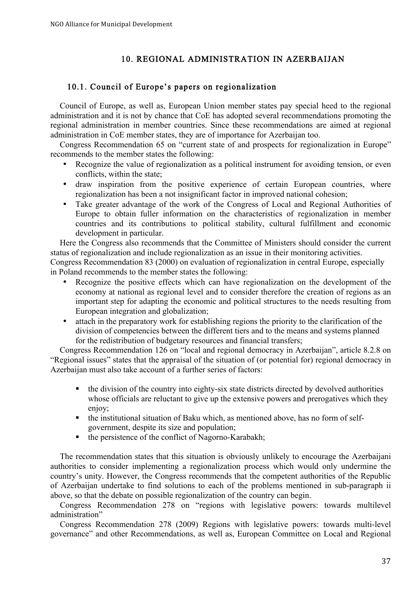# 10. REGIONAL ADMINISTRATION IN AZERBAIJAN

### 10.1. Council of Europe's papers on regionalization

Council of Europe, as well as, European Union member states pay special heed to the regional administration and it is not by chance that CoE has adopted several recommendations promoting the regional administration in member countries. Since these recommendations are aimed at regional administration in CoE member states, they are of importance for Azerbaijan too.

Congress Recommendation 65 on "current state of and prospects for regionalization in Europe" recommends to the member states the following:

- Recognize the value of regionalization as a political instrument for avoiding tension, or even conflicts, within the state;
- draw inspiration from the positive experience of certain European countries, where regionalization has been a not insignificant factor in improved national cohesion;
- Take greater advantage of the work of the Congress of Local and Regional Authorities of Europe to obtain fuller information on the characteristics of regionalization in member countries and its contributions to political stability, cultural fulfillment and economic development in particular.

Here the Congress also recommends that the Committee of Ministers should consider the current status of regionalization and include regionalization as an issue in their monitoring activities.

Congress Recommendation 83 (2000) on evaluation of regionalization in central Europe, especially in Poland recommends to the member states the following:

- Recognize the positive effects which can have regionalization on the development of the economy at national as regional level and to consider therefore the creation of regions as an important step for adapting the economic and political structures to the needs resulting from European integration and globalization;
- attach in the preparatory work for establishing regions the priority to the clarification of the division of competencies between the different tiers and to the means and systems planned for the redistribution of budgetary resources and financial transfers;

Congress Recommendation 126 on "local and regional democracy in Azerbaijan", article 8.2.8 on "Regional issues" states that the appraisal of the situation of (or potential for) regional democracy in Azerbaijan must also take account of a further series of factors:

- the division of the country into eighty-six state districts directed by devolved authorities whose officials are reluctant to give up the extensive powers and prerogatives which they enjoy;
- the institutional situation of Baku which, as mentioned above, has no form of selfgovernment, despite its size and population;
- $\blacksquare$  the persistence of the conflict of Nagorno-Karabakh;

The recommendation states that this situation is obviously unlikely to encourage the Azerbaijani authorities to consider implementing a regionalization process which would only undermine the country's unity. However, the Congress recommends that the competent authorities of the Republic of Azerbaijan undertake to find solutions to each of the problems mentioned in sub-paragraph ii above, so that the debate on possible regionalization of the country can begin.

Congress Recommendation 278 on "regions with legislative powers: towards multilevel administration"

Congress Recommendation 278 (2009) Regions with legislative powers: towards multi-level governance" and other Recommendations, as well as, European Committee on Local and Regional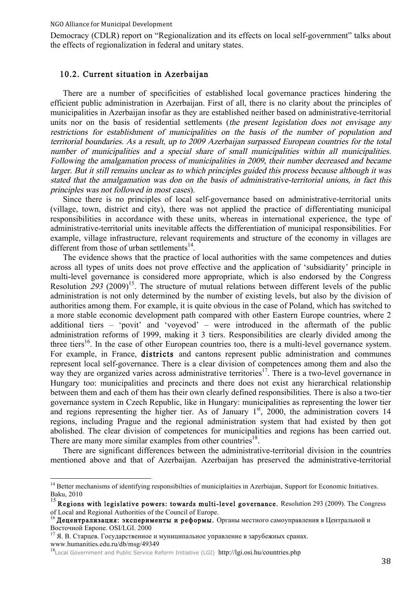Democracy (CDLR) report on "Regionalization and its effects on local self-government" talks about the effects of regionalization in federal and unitary states.

#### 10.2. Current situation in Azerbaijan

There are a number of specificities of established local governance practices hindering the efficient public administration in Azerbaijan. First of all, there is no clarity about the principles of municipalities in Azerbaijan insofar as they are established neither based on administrative-territorial units nor on the basis of residential settlements (the present legislation does not envisage any restrictions for establishment of municipalities on the basis of the number of population and territorial boundaries. As a result, up to 2009 Azerbaijan surpassed European countries for the total number of municipalities and a special share of small municipalities within all municipalities. Following the amalgamation process of municipalities in 2009, their number decreased and became larger. But it still remains unclear as to which principles guided this process because although it was stated that the amalgamation was don on the basis of administrative-territorial unions, in fact this principles was not followed in most cases).

Since there is no principles of local self-governance based on administrative-territorial units (village, town, district and city), there was not applied the practice of differentiating municipal responsibilities in accordance with these units, whereas in international experience, the type of administrative-territorial units inevitable affects the differentiation of municipal responsibilities. For example, village infrastructure, relevant requirements and structure of the economy in villages are different from those of urban settlements $^{14}$ .

The evidence shows that the practice of local authorities with the same competences and duties across all types of units does not prove effective and the application of 'subsidiarity' principle in multi-level governance is considered more appropriate, which is also endorsed by the Congress Resolution  $293$  (2009)<sup>15</sup>. The structure of mutual relations between different levels of the public administration is not only determined by the number of existing levels, but also by the division of authorities among them. For example, it is quite obvious in the case of Poland, which has switched to a more stable economic development path compared with other Eastern Europe countries, where 2 additional tiers – 'povit' and 'voyevod' – were introduced in the aftermath of the public administration reforms of 1999, making it 3 tiers. Responsibilities are clearly divided among the three tiers<sup>16</sup>. In the case of other European countries too, there is a multi-level governance system. For example, in France, districts and cantons represent public administration and communes represent local self-governance. There is a clear division of competences among them and also the way they are organized varies across administrative territories<sup>17</sup>. There is a two-level governance in Hungary too: municipalities and precincts and there does not exist any hierarchical relationship between them and each of them has their own clearly defined responsibilities. There is also a two-tier governance system in Czech Republic, like in Hungary: municipalities as representing the lower tier and regions representing the higher tier. As of January  $1<sup>st</sup>$ , 2000, the administration covers 14 regions, including Prague and the regional administration system that had existed by then got abolished. The clear division of competences for municipalities and regions has been carried out. There are many more similar examples from other countries<sup>18</sup>.

There are significant differences between the administrative-territorial division in the countries mentioned above and that of Azerbaijan. Azerbaijan has preserved the administrative-territorial

<sup>&</sup>lt;sup>14</sup> Better mechanisms of identifying responsibilties of municiplaities in Azerbiajan. Support for Economic Initiatives. Baku, 2010

 $15$  Regions with legislative powers: towards multi-level governance. Resolution 293 (2009). The Congress of Local and Regional Authorities of the Council of Europe.

<sup>16</sup> Децентрализация: эксперименты и реформы. Органы местного самоуправления в Центральной и

Восточной Европе. OSI/LGI. 2000 100 и муниципальное управление в зарубежных сранах.

www.humanities.edu.ru/db/msg/49349<br><sup>18</sup>Local Government and Public Service Reform Initiative (LGI) http://lgi.osi.hu/countries.php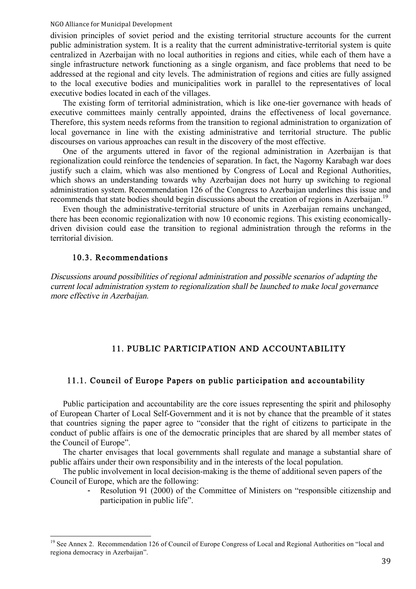division principles of soviet period and the existing territorial structure accounts for the current public administration system. It is a reality that the current administrative-territorial system is quite centralized in Azerbaijan with no local authorities in regions and cities, while each of them have a single infrastructure network functioning as a single organism, and face problems that need to be addressed at the regional and city levels. The administration of regions and cities are fully assigned to the local executive bodies and municipalities work in parallel to the representatives of local executive bodies located in each of the villages.

The existing form of territorial administration, which is like one-tier governance with heads of executive committees mainly centrally appointed, drains the effectiveness of local governance. Therefore, this system needs reforms from the transition to regional administration to organization of local governance in line with the existing administrative and territorial structure. The public discourses on various approaches can result in the discovery of the most effective.

One of the arguments uttered in favor of the regional administration in Azerbaijan is that regionalization could reinforce the tendencies of separation. In fact, the Nagorny Karabagh war does justify such a claim, which was also mentioned by Congress of Local and Regional Authorities, which shows an understanding towards why Azerbaijan does not hurry up switching to regional administration system. Recommendation 126 of the Congress to Azerbaijan underlines this issue and recommends that state bodies should begin discussions about the creation of regions in Azerbaijan.<sup>19</sup>

Even though the administrative-territorial structure of units in Azerbaijan remains unchanged, there has been economic regionalization with now 10 economic regions. This existing economicallydriven division could ease the transition to regional administration through the reforms in the territorial division.

#### 10.3. Recommendations

Discussions around possibilities of regional administration and possible scenarios of adapting the current local administration system to regionalization shall be launched to make local governance more effective in Azerbaijan.

## 11. PUBLIC PARTICIPATION AND ACCOUNTABILITY

#### 11.1. Council of Europe Papers on public participation and accountability

Public participation and accountability are the core issues representing the spirit and philosophy of European Charter of Local Self-Government and it is not by chance that the preamble of it states that countries signing the paper agree to "consider that the right of citizens to participate in the conduct of public affairs is one of the democratic principles that are shared by all member states of the Council of Europe".

The charter envisages that local governments shall regulate and manage a substantial share of public affairs under their own responsibility and in the interests of the local population.

The public involvement in local decision-making is the theme of additional seven papers of the Council of Europe, which are the following:

> Resolution 91 (2000) of the Committee of Ministers on "responsible citizenship and participation in public life".

<sup>&</sup>lt;sup>19</sup> See Annex 2. Recommendation 126 of Council of Europe Congress of Local and Regional Authorities on "local and regiona democracy in Azerbaijan".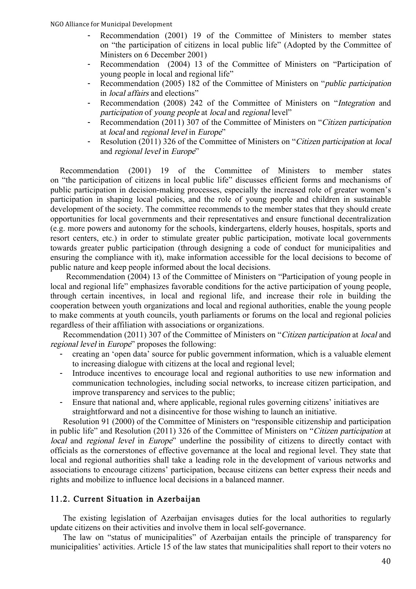- Recommendation (2001) 19 of the Committee of Ministers to member states on "the participation of citizens in local public life" (Adopted by the Committee of Ministers on 6 December 2001)
- Recommendation (2004) 13 of the Committee of Ministers on "Participation of young people in local and regional life"
- Recommendation (2005) 182 of the Committee of Ministers on "*public participation* in local affairs and elections"
- Recommendation (2008) 242 of the Committee of Ministers on "Integration and participation of young people at local and regional level"
- Recommendation (2011) 307 of the Committee of Ministers on "Citizen participation" at local and regional level in Europe"
- Resolution (2011) 326 of the Committee of Ministers on "Citizen participation at local and regional level in Europe"

Recommendation (2001) 19 of the Committee of Ministers to member states on "the participation of citizens in local public life" discusses efficient forms and mechanisms of public participation in decision-making processes, especially the increased role of greater women's participation in shaping local policies, and the role of young people and children in sustainable development of the society. The committee recommends to the member states that they should create opportunities for local governments and their representatives and ensure functional decentralization (e.g. more powers and autonomy for the schools, kindergartens, elderly houses, hospitals, sports and resort centers, etc.) in order to stimulate greater public participation, motivate local governments towards greater public participation (through designing a code of conduct for municipalities and ensuring the compliance with it), make information accessible for the local decisions to become of public nature and keep people informed about the local decisions.

Recommendation (2004) 13 of the Committee of Ministers on "Participation of young people in local and regional life" emphasizes favorable conditions for the active participation of young people, through certain incentives, in local and regional life, and increase their role in building the cooperation between youth organizations and local and regional authorities, enable the young people to make comments at youth councils, youth parliaments or forums on the local and regional policies regardless of their affiliation with associations or organizations.

Recommendation (2011) 307 of the Committee of Ministers on "Citizen participation at local and regional level in Europe" proposes the following:

- creating an 'open data' source for public government information, which is a valuable element to increasing dialogue with citizens at the local and regional level;
- Introduce incentives to encourage local and regional authorities to use new information and communication technologies, including social networks, to increase citizen participation, and improve transparency and services to the public;
- Ensure that national and, where applicable, regional rules governing citizens' initiatives are straightforward and not a disincentive for those wishing to launch an initiative.

Resolution 91 (2000) of the Committee of Ministers on "responsible citizenship and participation in public life" and Resolution (2011) 326 of the Committee of Ministers on "Citizen participation at local and regional level in Europe" underline the possibility of citizens to directly contact with officials as the cornerstones of effective governance at the local and regional level. They state that local and regional authorities shall take a leading role in the development of various networks and associations to encourage citizens' participation, because citizens can better express their needs and rights and mobilize to influence local decisions in a balanced manner.

### 11.2. Current Situation in Azerbaijan

The existing legislation of Azerbaijan envisages duties for the local authorities to regularly update citizens on their activities and involve them in local self-governance.

The law on "status of municipalities" of Azerbaijan entails the principle of transparency for municipalities' activities. Article 15 of the law states that municipalities shall report to their voters no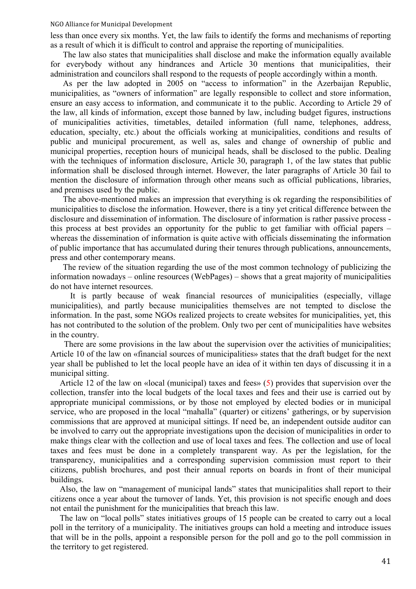less than once every six months. Yet, the law fails to identify the forms and mechanisms of reporting as a result of which it is difficult to control and appraise the reporting of municipalities.

The law also states that municipalities shall disclose and make the information equally available for everybody without any hindrances and Article 30 mentions that municipalities, their administration and councilors shall respond to the requests of people accordingly within a month.

As per the law adopted in 2005 on "access to information" in the Azerbaijan Republic, municipalities, as "owners of information" are legally responsible to collect and store information, ensure an easy access to information, and communicate it to the public. According to Article 29 of the law, all kinds of information, except those banned by law, including budget figures, instructions of municipalities activities, timetables, detailed information (full name, telephones, address, education, specialty, etc.) about the officials working at municipalities, conditions and results of public and municipal procurement, as well as, sales and change of ownership of public and municipal properties, reception hours of municipal heads, shall be disclosed to the public. Dealing with the techniques of information disclosure, Article 30, paragraph 1, of the law states that public information shall be disclosed through internet. However, the later paragraphs of Article 30 fail to mention the disclosure of information through other means such as official publications, libraries, and premises used by the public.

The above-mentioned makes an impression that everything is ok regarding the responsibilities of municipalities to disclose the information. However, there is a tiny yet critical difference between the disclosure and dissemination of information. The disclosure of information is rather passive process this process at best provides an opportunity for the public to get familiar with official papers – whereas the dissemination of information is quite active with officials disseminating the information of public importance that has accumulated during their tenures through publications, announcements, press and other contemporary means.

The review of the situation regarding the use of the most common technology of publicizing the information nowadays – online resources (WebPages) – shows that a great majority of municipalities do not have internet resources.

It is partly because of weak financial resources of municipalities (especially, village municipalities), and partly because municipalities themselves are not tempted to disclose the information. In the past, some NGOs realized projects to create websites for municipalities, yet, this has not contributed to the solution of the problem. Only two per cent of municipalities have websites in the country.

There are some provisions in the law about the supervision over the activities of municipalities; Article 10 of the law on «financial sources of municipalities» states that the draft budget for the next year shall be published to let the local people have an idea of it within ten days of discussing it in a municipal sitting.

Article 12 of the law on «local (municipal) taxes and fees» (5) provides that supervision over the collection, transfer into the local budgets of the local taxes and fees and their use is carried out by appropriate municipal commissions, or by those not employed by elected bodies or in municipal service, who are proposed in the local "mahalla" (quarter) or citizens' gatherings, or by supervision commissions that are approved at municipal sittings. If need be, an independent outside auditor can be involved to carry out the appropriate investigations upon the decision of municipalities in order to make things clear with the collection and use of local taxes and fees. The collection and use of local taxes and fees must be done in a completely transparent way. As per the legislation, for the transparency, municipalities and a corresponding supervision commission must report to their citizens, publish brochures, and post their annual reports on boards in front of their municipal buildings.

Also, the law on "management of municipal lands" states that municipalities shall report to their citizens once a year about the turnover of lands. Yet, this provision is not specific enough and does not entail the punishment for the municipalities that breach this law.

The law on "local polls" states initiatives groups of 15 people can be created to carry out a local poll in the territory of a municipality. The initiatives groups can hold a meeting and introduce issues that will be in the polls, appoint a responsible person for the poll and go to the poll commission in the territory to get registered.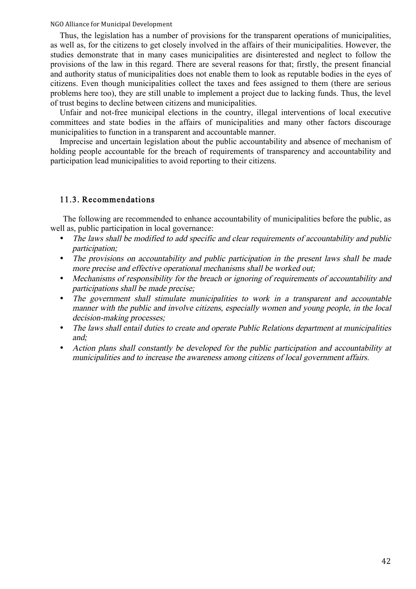Thus, the legislation has a number of provisions for the transparent operations of municipalities, as well as, for the citizens to get closely involved in the affairs of their municipalities. However, the studies demonstrate that in many cases municipalities are disinterested and neglect to follow the provisions of the law in this regard. There are several reasons for that; firstly, the present financial and authority status of municipalities does not enable them to look as reputable bodies in the eyes of citizens. Even though municipalities collect the taxes and fees assigned to them (there are serious problems here too), they are still unable to implement a project due to lacking funds. Thus, the level of trust begins to decline between citizens and municipalities.

Unfair and not-free municipal elections in the country, illegal interventions of local executive committees and state bodies in the affairs of municipalities and many other factors discourage municipalities to function in a transparent and accountable manner.

Imprecise and uncertain legislation about the public accountability and absence of mechanism of holding people accountable for the breach of requirements of transparency and accountability and participation lead municipalities to avoid reporting to their citizens.

#### 11.3. Recommendations

The following are recommended to enhance accountability of municipalities before the public, as well as, public participation in local governance:

- The laws shall be modified to add specific and clear requirements of accountability and public participation;
- The provisions on accountability and public participation in the present laws shall be made more precise and effective operational mechanisms shall be worked out;
- Mechanisms of responsibility for the breach or ignoring of requirements of accountability and participations shall be made precise;
- The government shall stimulate municipalities to work in a transparent and accountable manner with the public and involve citizens, especially women and young people, in the local decision-making processes;
- The laws shall entail duties to create and operate Public Relations department at municipalities and;
- Action plans shall constantly be developed for the public participation and accountability at municipalities and to increase the awareness among citizens of local government affairs.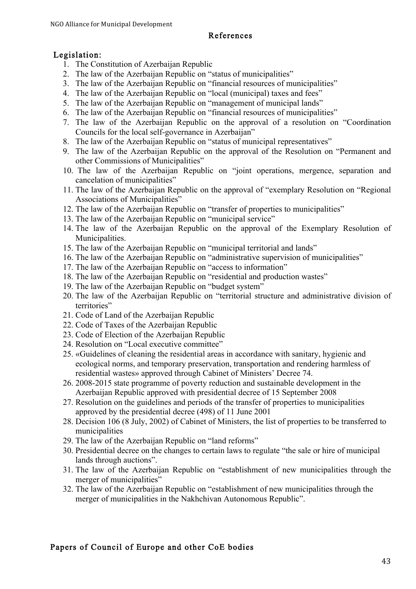### References

# Legislation:

- 1. The Constitution of Azerbaijan Republic
- 2. The law of the Azerbaijan Republic on "status of municipalities"
- 3. The law of the Azerbaijan Republic on "financial resources of municipalities"
- 4. The law of the Azerbaijan Republic on "local (municipal) taxes and fees"
- 5. The law of the Azerbaijan Republic on "management of municipal lands"
- 6. The law of the Azerbaijan Republic on "financial resources of municipalities"
- 7. The law of the Azerbaijan Republic on the approval of a resolution on "Coordination Councils for the local self-governance in Azerbaijan"
- 8. The law of the Azerbaijan Republic on "status of municipal representatives"
- 9. The law of the Azerbaijan Republic on the approval of the Resolution on "Permanent and other Commissions of Municipalities"
- 10. The law of the Azerbaijan Republic on "joint operations, mergence, separation and cancelation of municipalities"
- 11. The law of the Azerbaijan Republic on the approval of "exemplary Resolution on "Regional Associations of Municipalities"
- 12. The law of the Azerbaijan Republic on "transfer of properties to municipalities"
- 13. The law of the Azerbaijan Republic on "municipal service"
- 14. The law of the Azerbaijan Republic on the approval of the Exemplary Resolution of Municipalities.
- 15. The law of the Azerbaijan Republic on "municipal territorial and lands"
- 16. The law of the Azerbaijan Republic on "administrative supervision of municipalities"
- 17. The law of the Azerbaijan Republic on "access to information"
- 18. The law of the Azerbaijan Republic on "residential and production wastes"
- 19. The law of the Azerbaijan Republic on "budget system"
- 20. The law of the Azerbaijan Republic on "territorial structure and administrative division of territories"
- 21. Code of Land of the Azerbaijan Republic
- 22. Code of Taxes of the Azerbaijan Republic
- 23. Code of Election of the Azerbaijan Republic
- 24. Resolution on "Local executive committee"
- 25. «Guidelines of cleaning the residential areas in accordance with sanitary, hygienic and ecological norms, and temporary preservation, transportation and rendering harmless of residential wastes» approved through Cabinet of Ministers' Decree 74.
- 26. 2008-2015 state programme of poverty reduction and sustainable development in the Azerbaijan Republic approved with presidential decree of 15 September 2008
- 27. Resolution on the guidelines and periods of the transfer of properties to municipalities approved by the presidential decree (498) of 11 June 2001
- 28. Decision 106 (8 July, 2002) of Cabinet of Ministers, the list of properties to be transferred to municipalities
- 29. The law of the Azerbaijan Republic on "land reforms"
- 30. Presidential decree on the changes to certain laws to regulate "the sale or hire of municipal lands through auctions".
- 31. The law of the Azerbaijan Republic on "establishment of new municipalities through the merger of municipalities"
- 32. The law of the Azerbaijan Republic on "establishment of new municipalities through the merger of municipalities in the Nakhchivan Autonomous Republic".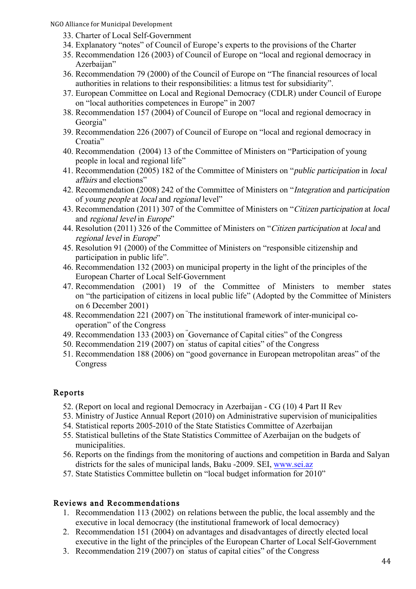- 33. Charter of Local Self-Government
- 34. Explanatory "notes" of Council of Europe's experts to the provisions of the Charter
- 35. Recommendation 126 (2003) of Council of Europe on "local and regional democracy in Azerbaijan"
- 36. Recommendation 79 (2000) of the Council of Europe on "The financial resources of local authorities in relations to their responsibilities: a litmus test for subsidiarity".
- 37. European Committee on Local and Regional Democracy (CDLR) under Council of Europe on "local authorities competences in Europe" in 2007
- 38. Recommendation 157 (2004) of Council of Europe on "local and regional democracy in Georgia"
- 39. Recommendation 226 (2007) of Council of Europe on "local and regional democracy in Croatia"
- 40. Recommendation (2004) 13 of the Committee of Ministers on "Participation of young people in local and regional life"
- 41. Recommendation (2005) 182 of the Committee of Ministers on "public participation in local affairs and elections"
- 42. Recommendation (2008) 242 of the Committee of Ministers on "Integration and participation of young people at local and regional level"
- 43. Recommendation (2011) 307 of the Committee of Ministers on "Citizen participation at local and regional level in Europe"
- 44. Resolution (2011) 326 of the Committee of Ministers on "Citizen participation at local and regional level in Europe"
- 45. Resolution 91 (2000) of the Committee of Ministers on "responsible citizenship and participation in public life".
- 46. Recommendation 132 (2003) on municipal property in the light of the principles of the European Charter of Local Self-Government
- 47. Recommendation (2001) 19 of the Committee of Ministers to member states on "the participation of citizens in local public life" (Adopted by the Committee of Ministers on 6 December 2001)
- 48. Recommendation 221 (2007) on " The institutional framework of inter-municipal cooperation" of the Congress
- 49. Recommendation 133 (2003) on " Governance of Capital cities" of the Congress
- 50. Recommendation 219 (2007) on " status of capital cities" of the Congress
- 51. Recommendation 188 (2006) on "good governance in European metropolitan areas" of the Congress

# Reports

- 52. (Report on local and regional Democracy in Azerbaijan CG (10) 4 Part II Rev
- 53. Ministry of Justice Annual Report (2010) on Administrative supervision of municipalities
- 54. Statistical reports 2005-2010 of the State Statistics Committee of Azerbaijan
- 55. Statistical bulletins of the State Statistics Committee of Azerbaijan on the budgets of municipalities.
- 56. Reports on the findings from the monitoring of auctions and competition in Barda and Salyan districts for the sales of municipal lands, Baku -2009. SEI, www.sei.az
- 57. State Statistics Committee bulletin on "local budget information for 2010"

# Reviews and Recommendations

- 1. Recommendation 113 (2002) on relations between the public, the local assembly and the executive in local democracy (the institutional framework of local democracy)
- 2. Recommendation 151 (2004) on advantages and disadvantages of directly elected local executive in the light of the principles of the European Charter of Local Self-Government
- 3. Recommendation 219 (2007) on " status of capital cities" of the Congress